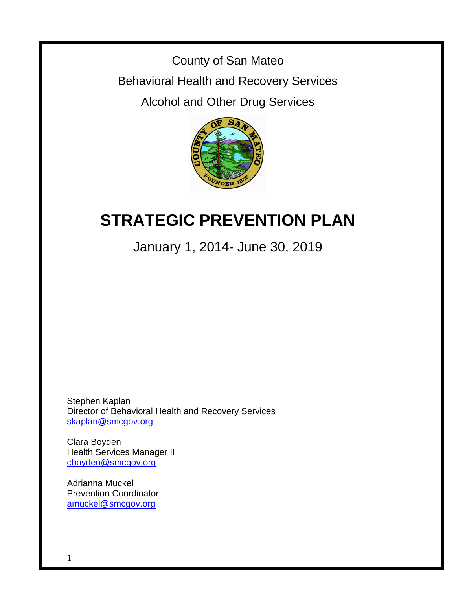County of San Mateo

Behavioral Health and Recovery Services

Alcohol and Other Drug Services



# **STRATEGIC PREVENTION PLAN**

January 1, 2014- June 30, 2019

Stephen Kaplan Director of Behavioral Health and Recovery Services [skaplan@smcgov.org](mailto:skaplan@co.sanmateo.ca.us)

Clara Boyden Health Services Manager II [cboyden@smcgov.org](mailto:jdavila@co.sanmateo.ca.us)

Adrianna Muckel Prevention Coordinator [amuckel@smcgov.org](mailto:elucas@co.sanmateo.ca.us)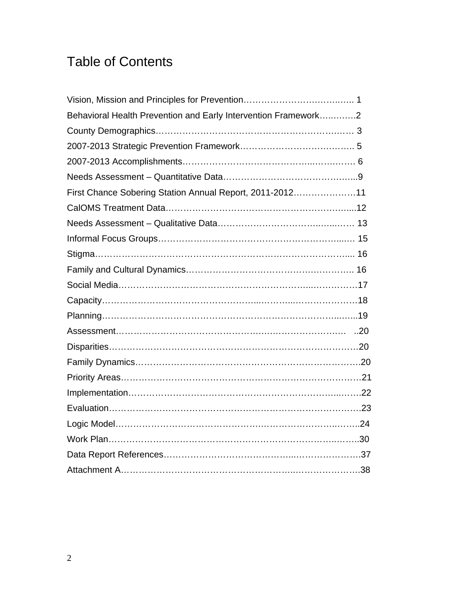# Table of Contents

| Behavioral Health Prevention and Early Intervention Framework2 |  |
|----------------------------------------------------------------|--|
|                                                                |  |
|                                                                |  |
|                                                                |  |
|                                                                |  |
| First Chance Sobering Station Annual Report, 2011-201211       |  |
|                                                                |  |
|                                                                |  |
|                                                                |  |
|                                                                |  |
|                                                                |  |
|                                                                |  |
|                                                                |  |
|                                                                |  |
|                                                                |  |
|                                                                |  |
|                                                                |  |
|                                                                |  |
|                                                                |  |
|                                                                |  |
|                                                                |  |
|                                                                |  |
|                                                                |  |
|                                                                |  |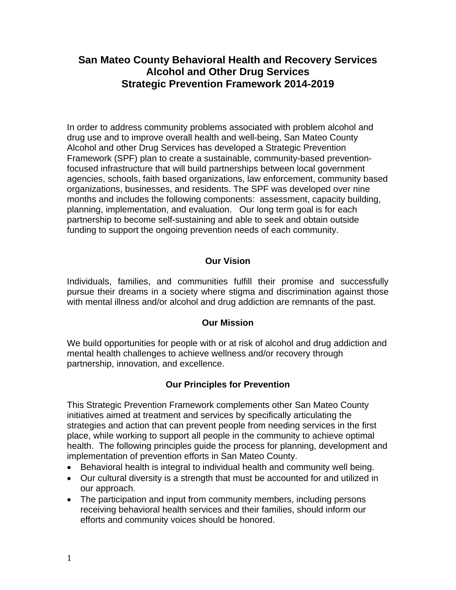# **San Mateo County Behavioral Health and Recovery Services Alcohol and Other Drug Services Strategic Prevention Framework 2014-2019**

In order to address community problems associated with problem alcohol and drug use and to improve overall health and well-being, San Mateo County Alcohol and other Drug Services has developed a Strategic Prevention Framework (SPF) plan to create a sustainable, community-based preventionfocused infrastructure that will build partnerships between local government agencies, schools, faith based organizations, law enforcement, community based organizations, businesses, and residents. The SPF was developed over nine months and includes the following components: assessment, capacity building, planning, implementation, and evaluation. Our long term goal is for each partnership to become self-sustaining and able to seek and obtain outside funding to support the ongoing prevention needs of each community.

# **Our Vision**

Individuals, families, and communities fulfill their promise and successfully pursue their dreams in a society where stigma and discrimination against those with mental illness and/or alcohol and drug addiction are remnants of the past.

# **Our Mission**

We build opportunities for people with or at risk of alcohol and drug addiction and mental health challenges to achieve wellness and/or recovery through partnership, innovation, and excellence.

# **Our Principles for Prevention**

This Strategic Prevention Framework complements other San Mateo County initiatives aimed at treatment and services by specifically articulating the strategies and action that can prevent people from needing services in the first place, while working to support all people in the community to achieve optimal health. The following principles guide the process for planning, development and implementation of prevention efforts in San Mateo County.

- Behavioral health is integral to individual health and community well being.
- Our cultural diversity is a strength that must be accounted for and utilized in our approach.
- The participation and input from community members, including persons receiving behavioral health services and their families, should inform our efforts and community voices should be honored.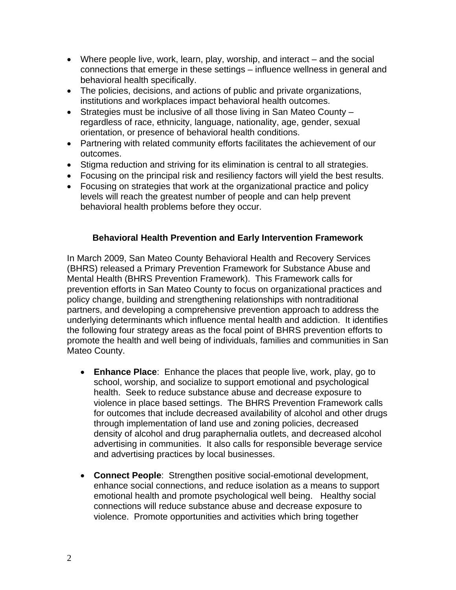- Where people live, work, learn, play, worship, and interact and the social connections that emerge in these settings – influence wellness in general and behavioral health specifically.
- The policies, decisions, and actions of public and private organizations, institutions and workplaces impact behavioral health outcomes.
- Strategies must be inclusive of all those living in San Mateo County regardless of race, ethnicity, language, nationality, age, gender, sexual orientation, or presence of behavioral health conditions.
- Partnering with related community efforts facilitates the achievement of our outcomes.
- Stigma reduction and striving for its elimination is central to all strategies.
- Focusing on the principal risk and resiliency factors will yield the best results.
- Focusing on strategies that work at the organizational practice and policy levels will reach the greatest number of people and can help prevent behavioral health problems before they occur.

### **Behavioral Health Prevention and Early Intervention Framework**

In March 2009, San Mateo County Behavioral Health and Recovery Services (BHRS) released a Primary Prevention Framework for Substance Abuse and Mental Health (BHRS Prevention Framework). This Framework calls for prevention efforts in San Mateo County to focus on organizational practices and policy change, building and strengthening relationships with nontraditional partners, and developing a comprehensive prevention approach to address the underlying determinants which influence mental health and addiction. It identifies the following four strategy areas as the focal point of BHRS prevention efforts to promote the health and well being of individuals, families and communities in San Mateo County.

- **Enhance Place**: Enhance the places that people live, work, play, go to school, worship, and socialize to support emotional and psychological health. Seek to reduce substance abuse and decrease exposure to violence in place based settings. The BHRS Prevention Framework calls for outcomes that include decreased availability of alcohol and other drugs through implementation of land use and zoning policies, decreased density of alcohol and drug paraphernalia outlets, and decreased alcohol advertising in communities. It also calls for responsible beverage service and advertising practices by local businesses.
- **Connect People**: Strengthen positive social-emotional development, enhance social connections, and reduce isolation as a means to support emotional health and promote psychological well being. Healthy social connections will reduce substance abuse and decrease exposure to violence. Promote opportunities and activities which bring together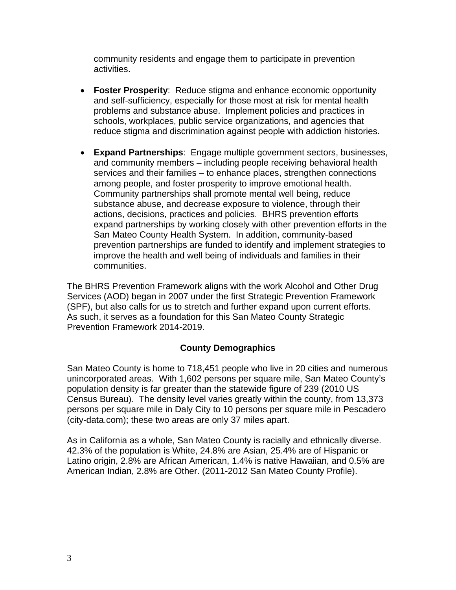community residents and engage them to participate in prevention activities.

- **Foster Prosperity**: Reduce stigma and enhance economic opportunity and self-sufficiency, especially for those most at risk for mental health problems and substance abuse. Implement policies and practices in schools, workplaces, public service organizations, and agencies that reduce stigma and discrimination against people with addiction histories.
- **Expand Partnerships**: Engage multiple government sectors, businesses, and community members – including people receiving behavioral health services and their families – to enhance places, strengthen connections among people, and foster prosperity to improve emotional health. Community partnerships shall promote mental well being, reduce substance abuse, and decrease exposure to violence, through their actions, decisions, practices and policies. BHRS prevention efforts expand partnerships by working closely with other prevention efforts in the San Mateo County Health System. In addition, community-based prevention partnerships are funded to identify and implement strategies to improve the health and well being of individuals and families in their communities.

The BHRS Prevention Framework aligns with the work Alcohol and Other Drug Services (AOD) began in 2007 under the first Strategic Prevention Framework (SPF), but also calls for us to stretch and further expand upon current efforts. As such, it serves as a foundation for this San Mateo County Strategic Prevention Framework 2014-2019.

### **County Demographics**

San Mateo County is home to 718,451 people who live in 20 cities and numerous unincorporated areas. With 1,602 persons per square mile, San Mateo County's population density is far greater than the statewide figure of 239 (2010 US Census Bureau). The density level varies greatly within the county, from 13,373 persons per square mile in Daly City to 10 persons per square mile in Pescadero (city-data.com); these two areas are only 37 miles apart.

As in California as a whole, San Mateo County is racially and ethnically diverse. 42.3% of the population is White, 24.8% are Asian, 25.4% are of Hispanic or Latino origin, 2.8% are African American, 1.4% is native Hawaiian, and 0.5% are American Indian, 2.8% are Other. (2011-2012 San Mateo County Profile).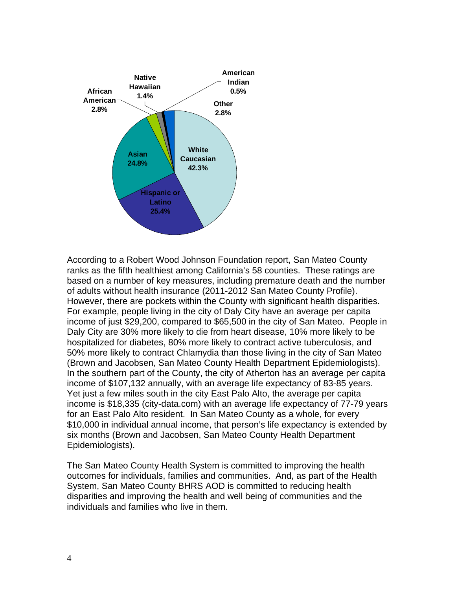

According to a Robert Wood Johnson Foundation report, San Mateo County ranks as the fifth healthiest among California's 58 counties. These ratings are based on a number of key measures, including premature death and the number of adults without health insurance (2011-2012 San Mateo County Profile). However, there are pockets within the County with significant health disparities. For example, people living in the city of Daly City have an average per capita income of just \$29,200, compared to \$65,500 in the city of San Mateo. People in Daly City are 30% more likely to die from heart disease, 10% more likely to be hospitalized for diabetes, 80% more likely to contract active tuberculosis, and 50% more likely to contract Chlamydia than those living in the city of San Mateo (Brown and Jacobsen, San Mateo County Health Department Epidemiologists). In the southern part of the County, the city of Atherton has an average per capita income of \$107,132 annually, with an average life expectancy of 83-85 years. Yet just a few miles south in the city East Palo Alto, the average per capita income is \$18,335 (city-data.com) with an average life expectancy of 77-79 years for an East Palo Alto resident. In San Mateo County as a whole, for every \$10,000 in individual annual income, that person's life expectancy is extended by six months (Brown and Jacobsen, San Mateo County Health Department Epidemiologists).

The San Mateo County Health System is committed to improving the health outcomes for individuals, families and communities. And, as part of the Health System, San Mateo County BHRS AOD is committed to reducing health disparities and improving the health and well being of communities and the individuals and families who live in them.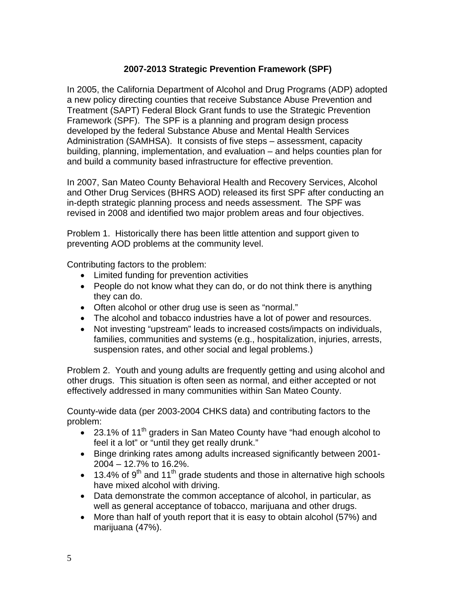# **2007-2013 Strategic Prevention Framework (SPF)**

In 2005, the California Department of Alcohol and Drug Programs (ADP) adopted a new policy directing counties that receive Substance Abuse Prevention and Treatment (SAPT) Federal Block Grant funds to use the Strategic Prevention Framework (SPF). The SPF is a planning and program design process developed by the federal Substance Abuse and Mental Health Services Administration (SAMHSA). It consists of five steps – assessment, capacity building, planning, implementation, and evaluation – and helps counties plan for and build a community based infrastructure for effective prevention.

In 2007, San Mateo County Behavioral Health and Recovery Services, Alcohol and Other Drug Services (BHRS AOD) released its first SPF after conducting an in-depth strategic planning process and needs assessment. The SPF was revised in 2008 and identified two major problem areas and four objectives.

Problem 1. Historically there has been little attention and support given to preventing AOD problems at the community level.

Contributing factors to the problem:

- Limited funding for prevention activities
- People do not know what they can do, or do not think there is anything they can do.
- Often alcohol or other drug use is seen as "normal."
- The alcohol and tobacco industries have a lot of power and resources.
- Not investing "upstream" leads to increased costs/impacts on individuals, families, communities and systems (e.g., hospitalization, injuries, arrests, suspension rates, and other social and legal problems.)

Problem 2. Youth and young adults are frequently getting and using alcohol and other drugs. This situation is often seen as normal, and either accepted or not effectively addressed in many communities within San Mateo County.

County-wide data (per 2003-2004 CHKS data) and contributing factors to the problem:

- 23.1% of 11<sup>th</sup> graders in San Mateo County have "had enough alcohol to feel it a lot" or "until they get really drunk."
- Binge drinking rates among adults increased significantly between 2001- 2004 – 12.7% to 16.2%.
- $\bullet$  13.4% of 9<sup>th</sup> and 11<sup>th</sup> grade students and those in alternative high schools have mixed alcohol with driving.
- Data demonstrate the common acceptance of alcohol, in particular, as well as general acceptance of tobacco, marijuana and other drugs.
- More than half of youth report that it is easy to obtain alcohol (57%) and marijuana (47%).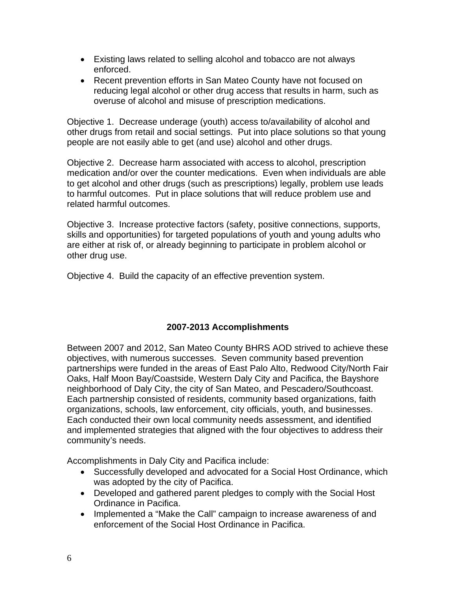- Existing laws related to selling alcohol and tobacco are not always enforced.
- Recent prevention efforts in San Mateo County have not focused on reducing legal alcohol or other drug access that results in harm, such as overuse of alcohol and misuse of prescription medications.

Objective 1. Decrease underage (youth) access to/availability of alcohol and other drugs from retail and social settings. Put into place solutions so that young people are not easily able to get (and use) alcohol and other drugs.

Objective 2. Decrease harm associated with access to alcohol, prescription medication and/or over the counter medications. Even when individuals are able to get alcohol and other drugs (such as prescriptions) legally, problem use leads to harmful outcomes. Put in place solutions that will reduce problem use and related harmful outcomes.

Objective 3. Increase protective factors (safety, positive connections, supports, skills and opportunities) for targeted populations of youth and young adults who are either at risk of, or already beginning to participate in problem alcohol or other drug use.

Objective 4. Build the capacity of an effective prevention system.

# **2007-2013 Accomplishments**

Between 2007 and 2012, San Mateo County BHRS AOD strived to achieve these objectives, with numerous successes. Seven community based prevention partnerships were funded in the areas of East Palo Alto, Redwood City/North Fair Oaks, Half Moon Bay/Coastside, Western Daly City and Pacifica, the Bayshore neighborhood of Daly City, the city of San Mateo, and Pescadero/Southcoast. Each partnership consisted of residents, community based organizations, faith organizations, schools, law enforcement, city officials, youth, and businesses. Each conducted their own local community needs assessment, and identified and implemented strategies that aligned with the four objectives to address their community's needs.

Accomplishments in Daly City and Pacifica include:

- Successfully developed and advocated for a Social Host Ordinance, which was adopted by the city of Pacifica.
- Developed and gathered parent pledges to comply with the Social Host Ordinance in Pacifica.
- Implemented a "Make the Call" campaign to increase awareness of and enforcement of the Social Host Ordinance in Pacifica.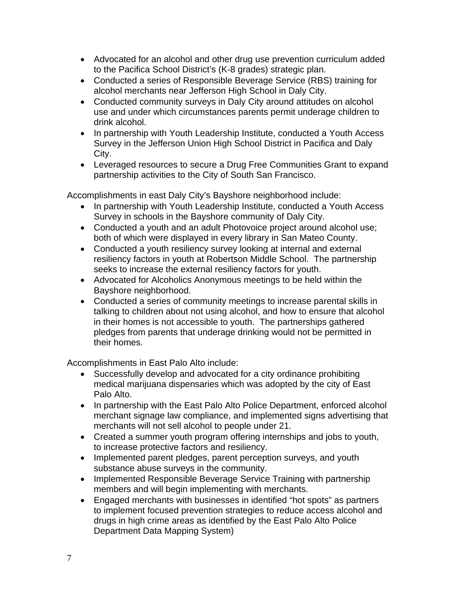- Advocated for an alcohol and other drug use prevention curriculum added to the Pacifica School District's (K-8 grades) strategic plan.
- Conducted a series of Responsible Beverage Service (RBS) training for alcohol merchants near Jefferson High School in Daly City.
- Conducted community surveys in Daly City around attitudes on alcohol use and under which circumstances parents permit underage children to drink alcohol.
- In partnership with Youth Leadership Institute, conducted a Youth Access Survey in the Jefferson Union High School District in Pacifica and Daly City.
- Leveraged resources to secure a Drug Free Communities Grant to expand partnership activities to the City of South San Francisco.

Accomplishments in east Daly City's Bayshore neighborhood include:

- In partnership with Youth Leadership Institute, conducted a Youth Access Survey in schools in the Bayshore community of Daly City.
- Conducted a youth and an adult Photovoice project around alcohol use; both of which were displayed in every library in San Mateo County.
- Conducted a youth resiliency survey looking at internal and external resiliency factors in youth at Robertson Middle School. The partnership seeks to increase the external resiliency factors for youth.
- Advocated for Alcoholics Anonymous meetings to be held within the Bayshore neighborhood.
- Conducted a series of community meetings to increase parental skills in talking to children about not using alcohol, and how to ensure that alcohol in their homes is not accessible to youth. The partnerships gathered pledges from parents that underage drinking would not be permitted in their homes.

Accomplishments in East Palo Alto include:

- Successfully develop and advocated for a city ordinance prohibiting medical marijuana dispensaries which was adopted by the city of East Palo Alto.
- In partnership with the East Palo Alto Police Department, enforced alcohol merchant signage law compliance, and implemented signs advertising that merchants will not sell alcohol to people under 21.
- Created a summer youth program offering internships and jobs to youth, to increase protective factors and resiliency.
- Implemented parent pledges, parent perception surveys, and youth substance abuse surveys in the community.
- Implemented Responsible Beverage Service Training with partnership members and will begin implementing with merchants.
- Engaged merchants with businesses in identified "hot spots" as partners to implement focused prevention strategies to reduce access alcohol and drugs in high crime areas as identified by the East Palo Alto Police Department Data Mapping System)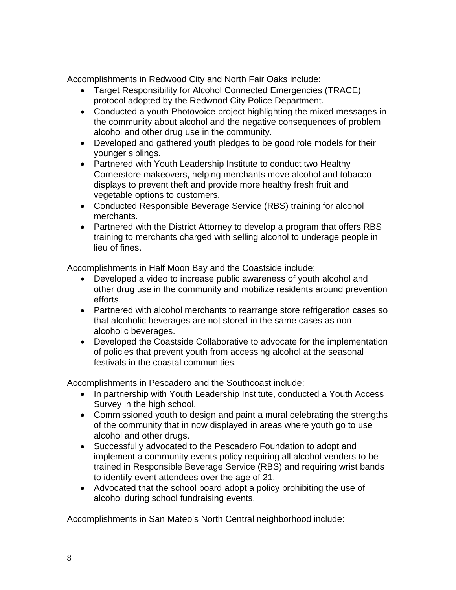Accomplishments in Redwood City and North Fair Oaks include:

- Target Responsibility for Alcohol Connected Emergencies (TRACE) protocol adopted by the Redwood City Police Department.
- Conducted a youth Photovoice project highlighting the mixed messages in the community about alcohol and the negative consequences of problem alcohol and other drug use in the community.
- Developed and gathered youth pledges to be good role models for their younger siblings.
- Partnered with Youth Leadership Institute to conduct two Healthy Cornerstore makeovers, helping merchants move alcohol and tobacco displays to prevent theft and provide more healthy fresh fruit and vegetable options to customers.
- Conducted Responsible Beverage Service (RBS) training for alcohol merchants.
- Partnered with the District Attorney to develop a program that offers RBS training to merchants charged with selling alcohol to underage people in lieu of fines.

Accomplishments in Half Moon Bay and the Coastside include:

- Developed a video to increase public awareness of youth alcohol and other drug use in the community and mobilize residents around prevention efforts.
- Partnered with alcohol merchants to rearrange store refrigeration cases so that alcoholic beverages are not stored in the same cases as nonalcoholic beverages.
- Developed the Coastside Collaborative to advocate for the implementation of policies that prevent youth from accessing alcohol at the seasonal festivals in the coastal communities.

Accomplishments in Pescadero and the Southcoast include:

- In partnership with Youth Leadership Institute, conducted a Youth Access Survey in the high school.
- Commissioned youth to design and paint a mural celebrating the strengths of the community that in now displayed in areas where youth go to use alcohol and other drugs.
- Successfully advocated to the Pescadero Foundation to adopt and implement a community events policy requiring all alcohol venders to be trained in Responsible Beverage Service (RBS) and requiring wrist bands to identify event attendees over the age of 21.
- Advocated that the school board adopt a policy prohibiting the use of alcohol during school fundraising events.

Accomplishments in San Mateo's North Central neighborhood include: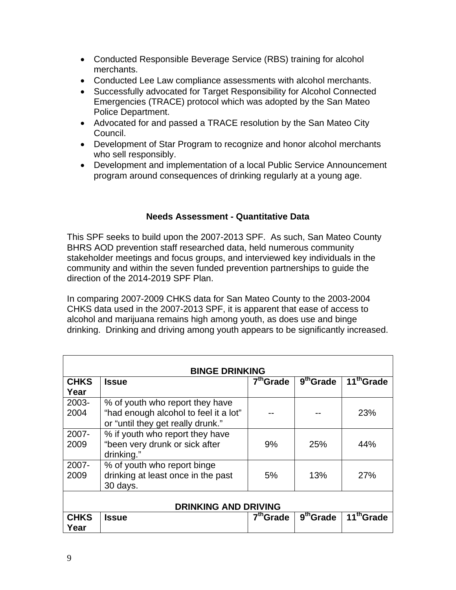- Conducted Responsible Beverage Service (RBS) training for alcohol merchants.
- Conducted Lee Law compliance assessments with alcohol merchants.
- Successfully advocated for Target Responsibility for Alcohol Connected Emergencies (TRACE) protocol which was adopted by the San Mateo Police Department.
- Advocated for and passed a TRACE resolution by the San Mateo City Council.
- Development of Star Program to recognize and honor alcohol merchants who sell responsibly.
- Development and implementation of a local Public Service Announcement program around consequences of drinking regularly at a young age.

# **Needs Assessment - Quantitative Data**

This SPF seeks to build upon the 2007-2013 SPF. As such, San Mateo County BHRS AOD prevention staff researched data, held numerous community stakeholder meetings and focus groups, and interviewed key individuals in the community and within the seven funded prevention partnerships to guide the direction of the 2014-2019 SPF Plan.

In comparing 2007-2009 CHKS data for San Mateo County to the 2003-2004 CHKS data used in the 2007-2013 SPF, it is apparent that ease of access to alcohol and marijuana remains high among youth, as does use and binge drinking. Drinking and driving among youth appears to be significantly increased.

| <b>BINGE DRINKING</b>       |                                                                                                               |                       |                       |                        |  |  |
|-----------------------------|---------------------------------------------------------------------------------------------------------------|-----------------------|-----------------------|------------------------|--|--|
| <b>CHKS</b><br>Year         | <b>Issue</b>                                                                                                  | $7th$ Grade           | $9th$ Grade           | 11 <sup>th</sup> Grade |  |  |
| 2003-<br>2004               | % of youth who report they have<br>"had enough alcohol to feel it a lot"<br>or "until they get really drunk." |                       |                       | 23%                    |  |  |
| 2007-<br>2009               | % if youth who report they have<br>"been very drunk or sick after<br>drinking."                               | 9%                    | 25%                   | 44%                    |  |  |
| $2007 -$<br>2009            | % of youth who report binge<br>drinking at least once in the past<br>30 days.                                 | 5%                    | 13%                   | 27%                    |  |  |
| <b>DRINKING AND DRIVING</b> |                                                                                                               |                       |                       |                        |  |  |
| <b>CHKS</b><br>Year         | <b>Issue</b>                                                                                                  | 7 <sup>th</sup> Grade | 9 <sup>th</sup> Grade | 11 <sup>th</sup> Grade |  |  |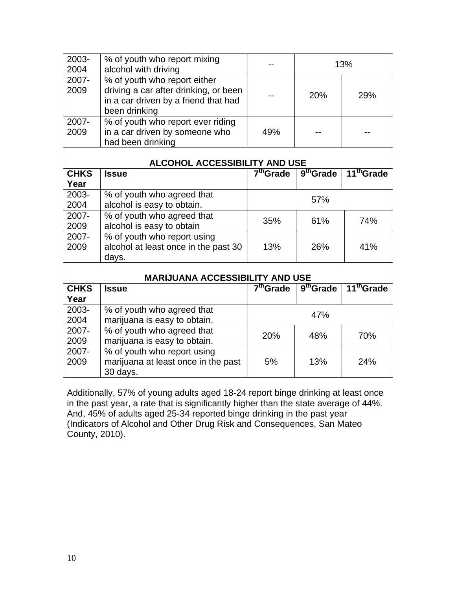| 2003-<br>2004       | % of youth who report mixing<br>alcohol with driving                                                                           | 13%                       |                       |                        |
|---------------------|--------------------------------------------------------------------------------------------------------------------------------|---------------------------|-----------------------|------------------------|
| 2007-<br>2009       | % of youth who report either<br>driving a car after drinking, or been<br>in a car driven by a friend that had<br>been drinking |                           | 20%                   | 29%                    |
| 2007-<br>2009       | % of youth who report ever riding<br>in a car driven by someone who<br>had been drinking                                       | 49%                       |                       |                        |
|                     | ALCOHOL ACCESSIBILITY AND USE                                                                                                  |                           |                       |                        |
| <b>CHKS</b><br>Year | <b>Issue</b>                                                                                                                   | $\overline{7^{th}}$ Grade | 9 <sup>th</sup> Grade | 11 <sup>th</sup> Grade |
| 2003-<br>2004       | % of youth who agreed that<br>alcohol is easy to obtain.                                                                       | 57%                       |                       |                        |
| 2007-<br>2009       | % of youth who agreed that<br>alcohol is easy to obtain                                                                        | 61%<br>35%<br>74%         |                       |                        |
| 2007-<br>2009       | % of youth who report using<br>alcohol at least once in the past 30<br>days.                                                   | 13%                       | 26%                   | 41%                    |
|                     | <b>MARIJUANA ACCESSIBILITY AND USE</b>                                                                                         |                           |                       |                        |
| <b>CHKS</b><br>Year | <b>Issue</b>                                                                                                                   | 7 <sup>th</sup> Grade     | 9 <sup>th</sup> Grade | 11 <sup>th</sup> Grade |
| 2003-<br>2004       | % of youth who agreed that<br>marijuana is easy to obtain.                                                                     | 47%                       |                       |                        |
| 2007-<br>2009       | % of youth who agreed that<br>marijuana is easy to obtain.                                                                     | 20%<br>48%                |                       | 70%                    |
| 2007-<br>2009       | % of youth who report using<br>marijuana at least once in the past<br>30 days.                                                 | 5%                        | 13%                   | 24%                    |

Additionally, 57% of young adults aged 18-24 report binge drinking at least once in the past year, a rate that is significantly higher than the state average of 44%. And, 45% of adults aged 25-34 reported binge drinking in the past year (Indicators of Alcohol and Other Drug Risk and Consequences, San Mateo County, 2010).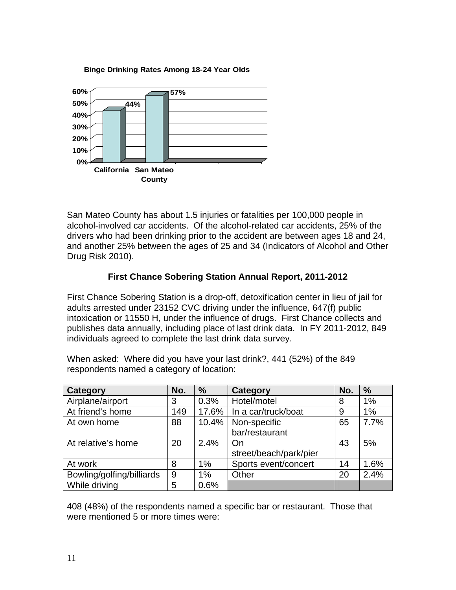#### **Binge Drinking Rates Among 18-24 Year Olds**



San Mateo County has about 1.5 injuries or fatalities per 100,000 people in alcohol-involved car accidents. Of the alcohol-related car accidents, 25% of the drivers who had been drinking prior to the accident are between ages 18 and 24, and another 25% between the ages of 25 and 34 (Indicators of Alcohol and Other Drug Risk 2010).

# **First Chance Sobering Station Annual Report, 2011-2012**

First Chance Sobering Station is a drop-off, detoxification center in lieu of jail for adults arrested under 23152 CVC driving under the influence, 647(f) public intoxication or 11550 H, under the influence of drugs. First Chance collects and publishes data annually, including place of last drink data. In FY 2011-2012, 849 individuals agreed to complete the last drink data survey.

| <b>Category</b>           | No. | $\frac{9}{6}$ | Category               | No. | $\%$ |
|---------------------------|-----|---------------|------------------------|-----|------|
| Airplane/airport          | 3   | 0.3%          | Hotel/motel            | 8   | 1%   |
| At friend's home          | 149 | 17.6%         | In a car/truck/boat    | 9   | 1%   |
| At own home               | 88  | 10.4%         | Non-specific           | 65  | 7.7% |
|                           |     |               | bar/restaurant         |     |      |
| At relative's home        | 20  | 2.4%          | On                     | 43  | 5%   |
|                           |     |               | street/beach/park/pier |     |      |
| At work                   | 8   | 1%            | Sports event/concert   | 14  | 1.6% |
| Bowling/golfing/billiards | 9   | 1%            | Other                  | 20  | 2.4% |
| While driving             | 5   | 0.6%          |                        |     |      |

When asked: Where did you have your last drink?, 441 (52%) of the 849 respondents named a category of location:

408 (48%) of the respondents named a specific bar or restaurant. Those that were mentioned 5 or more times were: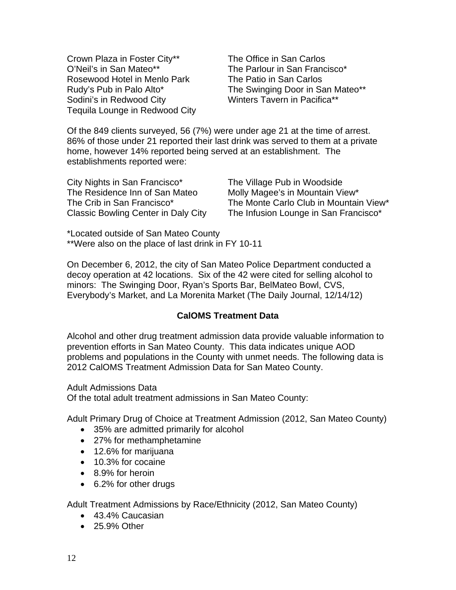Crown Plaza in Foster City\*\* The Office in San Carlos O'Neil's in San Mateo\*\* The Parlour in San Francisco\* Rosewood Hotel in Menlo Park The Patio in San Carlos Sodini's in Redwood City Winters Tavern in Pacifica\*\* Tequila Lounge in Redwood City

Rudy's Pub in Palo Alto\* The Swinging Door in San Mateo\*\*

Of the 849 clients surveyed, 56 (7%) were under age 21 at the time of arrest. 86% of those under 21 reported their last drink was served to them at a private home, however 14% reported being served at an establishment. The establishments reported were:

| City Nights in San Francisco*              |
|--------------------------------------------|
| The Residence Inn of San Mateo             |
| The Crib in San Francisco*                 |
| <b>Classic Bowling Center in Daly City</b> |

The Village Pub in Woodside Molly Magee's in Mountain View\* The Monte Carlo Club in Mountain View\* The Infusion Lounge in San Francisco\*

\*Located outside of San Mateo County \*\*Were also on the place of last drink in FY 10-11

On December 6, 2012, the city of San Mateo Police Department conducted a decoy operation at 42 locations. Six of the 42 were cited for selling alcohol to minors: The Swinging Door, Ryan's Sports Bar, BelMateo Bowl, CVS, Everybody's Market, and La Morenita Market (The Daily Journal, 12/14/12)

# **CalOMS Treatment Data**

Alcohol and other drug treatment admission data provide valuable information to prevention efforts in San Mateo County. This data indicates unique AOD problems and populations in the County with unmet needs. The following data is 2012 CalOMS Treatment Admission Data for San Mateo County.

Adult Admissions Data

Of the total adult treatment admissions in San Mateo County:

Adult Primary Drug of Choice at Treatment Admission (2012, San Mateo County)

- 35% are admitted primarily for alcohol
- 27% for methamphetamine
- 12.6% for marijuana
- 10.3% for cocaine
- 8.9% for heroin
- 6.2% for other drugs

Adult Treatment Admissions by Race/Ethnicity (2012, San Mateo County)

- 43.4% Caucasian
- 25.9% Other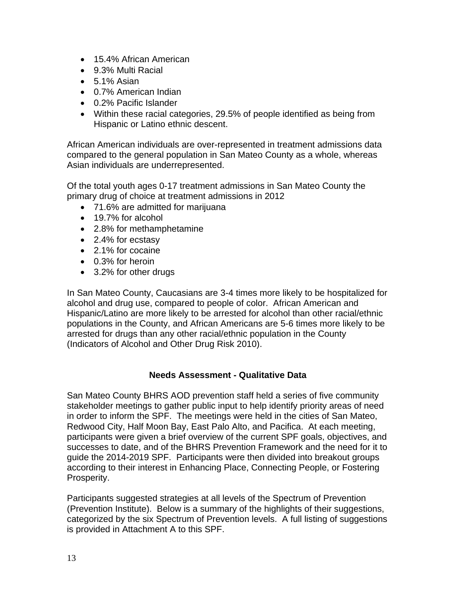- 15.4% African American
- 9.3% Multi Racial
- $\bullet$  5.1% Asian
- 0.7% American Indian
- 0.2% Pacific Islander
- Within these racial categories, 29.5% of people identified as being from Hispanic or Latino ethnic descent.

African American individuals are over-represented in treatment admissions data compared to the general population in San Mateo County as a whole, whereas Asian individuals are underrepresented.

Of the total youth ages 0-17 treatment admissions in San Mateo County the primary drug of choice at treatment admissions in 2012

- 71.6% are admitted for marijuana
- 19.7% for alcohol
- 2.8% for methamphetamine
- 2.4% for ecstasy
- 2.1% for cocaine
- 0.3% for heroin
- 3.2% for other drugs

In San Mateo County, Caucasians are 3-4 times more likely to be hospitalized for alcohol and drug use, compared to people of color. African American and Hispanic/Latino are more likely to be arrested for alcohol than other racial/ethnic populations in the County, and African Americans are 5-6 times more likely to be arrested for drugs than any other racial/ethnic population in the County (Indicators of Alcohol and Other Drug Risk 2010).

### **Needs Assessment - Qualitative Data**

San Mateo County BHRS AOD prevention staff held a series of five community stakeholder meetings to gather public input to help identify priority areas of need in order to inform the SPF. The meetings were held in the cities of San Mateo, Redwood City, Half Moon Bay, East Palo Alto, and Pacifica. At each meeting, participants were given a brief overview of the current SPF goals, objectives, and successes to date, and of the BHRS Prevention Framework and the need for it to guide the 2014-2019 SPF. Participants were then divided into breakout groups according to their interest in Enhancing Place, Connecting People, or Fostering Prosperity.

Participants suggested strategies at all levels of the Spectrum of Prevention (Prevention Institute). Below is a summary of the highlights of their suggestions, categorized by the six Spectrum of Prevention levels. A full listing of suggestions is provided in Attachment A to this SPF.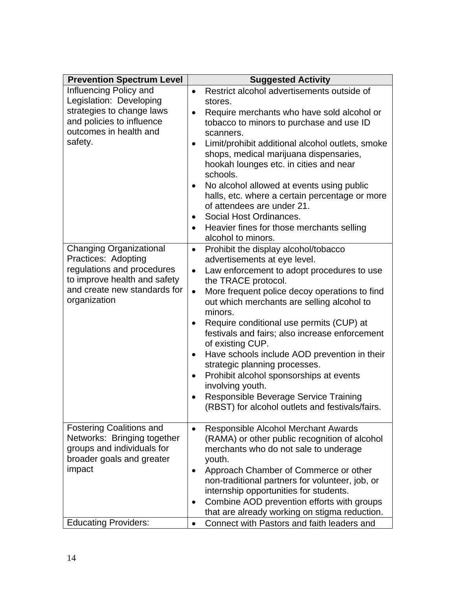| <b>Prevention Spectrum Level</b>                                                                                                                                    | <b>Suggested Activity</b>                                                                                                                                                                                                                                                                                                                                                                                                                                                                                                                                                                                                                                             |
|---------------------------------------------------------------------------------------------------------------------------------------------------------------------|-----------------------------------------------------------------------------------------------------------------------------------------------------------------------------------------------------------------------------------------------------------------------------------------------------------------------------------------------------------------------------------------------------------------------------------------------------------------------------------------------------------------------------------------------------------------------------------------------------------------------------------------------------------------------|
| Influencing Policy and<br>Legislation: Developing<br>strategies to change laws<br>and policies to influence<br>outcomes in health and<br>safety.                    | Restrict alcohol advertisements outside of<br>$\bullet$<br>stores.<br>Require merchants who have sold alcohol or<br>$\bullet$<br>tobacco to minors to purchase and use ID<br>scanners.<br>Limit/prohibit additional alcohol outlets, smoke<br>$\bullet$<br>shops, medical marijuana dispensaries,<br>hookah lounges etc. in cities and near<br>schools.<br>No alcohol allowed at events using public<br>halls, etc. where a certain percentage or more<br>of attendees are under 21.<br>Social Host Ordinances.<br>Heavier fines for those merchants selling<br>$\bullet$<br>alcohol to minors.                                                                       |
| <b>Changing Organizational</b><br>Practices: Adopting<br>regulations and procedures<br>to improve health and safety<br>and create new standards for<br>organization | Prohibit the display alcohol/tobacco<br>$\bullet$<br>advertisements at eye level.<br>Law enforcement to adopt procedures to use<br>$\bullet$<br>the TRACE protocol.<br>More frequent police decoy operations to find<br>$\bullet$<br>out which merchants are selling alcohol to<br>minors.<br>Require conditional use permits (CUP) at<br>festivals and fairs; also increase enforcement<br>of existing CUP.<br>Have schools include AOD prevention in their<br>$\bullet$<br>strategic planning processes.<br>Prohibit alcohol sponsorships at events<br>involving youth.<br>Responsible Beverage Service Training<br>(RBST) for alcohol outlets and festivals/fairs. |
| <b>Fostering Coalitions and</b><br>Networks: Bringing together<br>groups and individuals for<br>broader goals and greater<br>impact<br><b>Educating Providers:</b>  | Responsible Alcohol Merchant Awards<br>$\bullet$<br>(RAMA) or other public recognition of alcohol<br>merchants who do not sale to underage<br>youth.<br>Approach Chamber of Commerce or other<br>٠<br>non-traditional partners for volunteer, job, or<br>internship opportunities for students.<br>Combine AOD prevention efforts with groups<br>$\bullet$<br>that are already working on stigma reduction.<br>Connect with Pastors and faith leaders and<br>$\bullet$                                                                                                                                                                                                |
|                                                                                                                                                                     |                                                                                                                                                                                                                                                                                                                                                                                                                                                                                                                                                                                                                                                                       |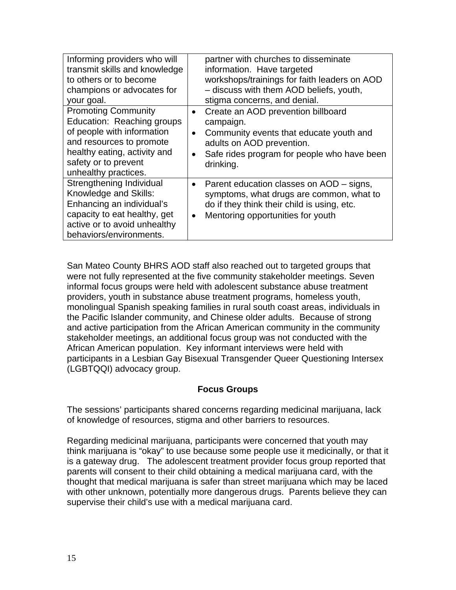| partner with churches to disseminate                     |
|----------------------------------------------------------|
| information. Have targeted                               |
| workshops/trainings for faith leaders on AOD             |
| - discuss with them AOD beliefs, youth,                  |
| stigma concerns, and denial.                             |
| Create an AOD prevention billboard<br>$\bullet$          |
| campaign.                                                |
| Community events that educate youth and<br>$\bullet$     |
| adults on AOD prevention.                                |
| Safe rides program for people who have been<br>$\bullet$ |
| drinking.                                                |
|                                                          |
| Parent education classes on AOD – signs,<br>$\bullet$    |
| symptoms, what drugs are common, what to                 |
| do if they think their child is using, etc.              |
| Mentoring opportunities for youth<br>$\bullet$           |
|                                                          |
|                                                          |
|                                                          |

San Mateo County BHRS AOD staff also reached out to targeted groups that were not fully represented at the five community stakeholder meetings. Seven informal focus groups were held with adolescent substance abuse treatment providers, youth in substance abuse treatment programs, homeless youth, monolingual Spanish speaking families in rural south coast areas, individuals in the Pacific Islander community, and Chinese older adults. Because of strong and active participation from the African American community in the community stakeholder meetings, an additional focus group was not conducted with the African American population. Key informant interviews were held with participants in a Lesbian Gay Bisexual Transgender Queer Questioning Intersex (LGBTQQI) advocacy group.

### **Focus Groups**

The sessions' participants shared concerns regarding medicinal marijuana, lack of knowledge of resources, stigma and other barriers to resources.

Regarding medicinal marijuana, participants were concerned that youth may think marijuana is "okay" to use because some people use it medicinally, or that it is a gateway drug. The adolescent treatment provider focus group reported that parents will consent to their child obtaining a medical marijuana card, with the thought that medical marijuana is safer than street marijuana which may be laced with other unknown, potentially more dangerous drugs. Parents believe they can supervise their child's use with a medical marijuana card.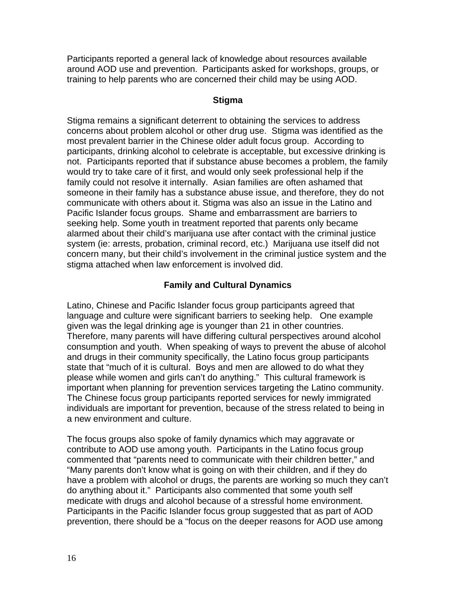Participants reported a general lack of knowledge about resources available around AOD use and prevention. Participants asked for workshops, groups, or training to help parents who are concerned their child may be using AOD.

### **Stigma**

Stigma remains a significant deterrent to obtaining the services to address concerns about problem alcohol or other drug use. Stigma was identified as the most prevalent barrier in the Chinese older adult focus group. According to participants, drinking alcohol to celebrate is acceptable, but excessive drinking is not. Participants reported that if substance abuse becomes a problem, the family would try to take care of it first, and would only seek professional help if the family could not resolve it internally. Asian families are often ashamed that someone in their family has a substance abuse issue, and therefore, they do not communicate with others about it. Stigma was also an issue in the Latino and Pacific Islander focus groups. Shame and embarrassment are barriers to seeking help. Some youth in treatment reported that parents only became alarmed about their child's marijuana use after contact with the criminal justice system (ie: arrests, probation, criminal record, etc.) Marijuana use itself did not concern many, but their child's involvement in the criminal justice system and the stigma attached when law enforcement is involved did.

# **Family and Cultural Dynamics**

Latino, Chinese and Pacific Islander focus group participants agreed that language and culture were significant barriers to seeking help. One example given was the legal drinking age is younger than 21 in other countries. Therefore, many parents will have differing cultural perspectives around alcohol consumption and youth. When speaking of ways to prevent the abuse of alcohol and drugs in their community specifically, the Latino focus group participants state that "much of it is cultural. Boys and men are allowed to do what they please while women and girls can't do anything." This cultural framework is important when planning for prevention services targeting the Latino community. The Chinese focus group participants reported services for newly immigrated individuals are important for prevention, because of the stress related to being in a new environment and culture.

The focus groups also spoke of family dynamics which may aggravate or contribute to AOD use among youth. Participants in the Latino focus group commented that "parents need to communicate with their children better," and "Many parents don't know what is going on with their children, and if they do have a problem with alcohol or drugs, the parents are working so much they can't do anything about it." Participants also commented that some youth self medicate with drugs and alcohol because of a stressful home environment. Participants in the Pacific Islander focus group suggested that as part of AOD prevention, there should be a "focus on the deeper reasons for AOD use among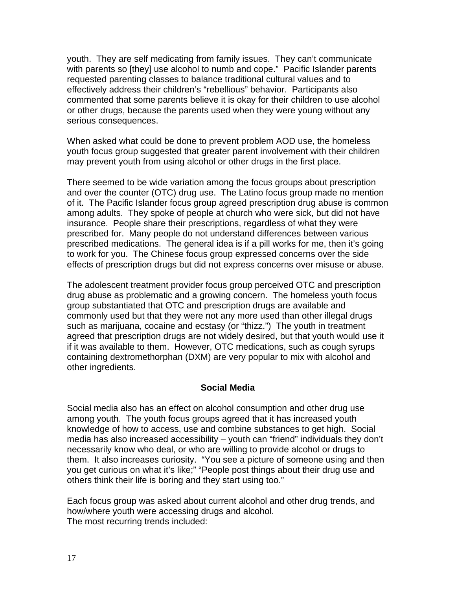youth. They are self medicating from family issues. They can't communicate with parents so [they] use alcohol to numb and cope." Pacific Islander parents requested parenting classes to balance traditional cultural values and to effectively address their children's "rebellious" behavior. Participants also commented that some parents believe it is okay for their children to use alcohol or other drugs, because the parents used when they were young without any serious consequences.

When asked what could be done to prevent problem AOD use, the homeless youth focus group suggested that greater parent involvement with their children may prevent youth from using alcohol or other drugs in the first place.

There seemed to be wide variation among the focus groups about prescription and over the counter (OTC) drug use. The Latino focus group made no mention of it. The Pacific Islander focus group agreed prescription drug abuse is common among adults. They spoke of people at church who were sick, but did not have insurance. People share their prescriptions, regardless of what they were prescribed for. Many people do not understand differences between various prescribed medications. The general idea is if a pill works for me, then it's going to work for you. The Chinese focus group expressed concerns over the side effects of prescription drugs but did not express concerns over misuse or abuse.

The adolescent treatment provider focus group perceived OTC and prescription drug abuse as problematic and a growing concern. The homeless youth focus group substantiated that OTC and prescription drugs are available and commonly used but that they were not any more used than other illegal drugs such as marijuana, cocaine and ecstasy (or "thizz.") The youth in treatment agreed that prescription drugs are not widely desired, but that youth would use it if it was available to them. However, OTC medications, such as cough syrups containing dextromethorphan (DXM) are very popular to mix with alcohol and other ingredients.

# **Social Media**

Social media also has an effect on alcohol consumption and other drug use among youth. The youth focus groups agreed that it has increased youth knowledge of how to access, use and combine substances to get high. Social media has also increased accessibility – youth can "friend" individuals they don't necessarily know who deal, or who are willing to provide alcohol or drugs to them. It also increases curiosity. "You see a picture of someone using and then you get curious on what it's like;" "People post things about their drug use and others think their life is boring and they start using too."

Each focus group was asked about current alcohol and other drug trends, and how/where youth were accessing drugs and alcohol. The most recurring trends included: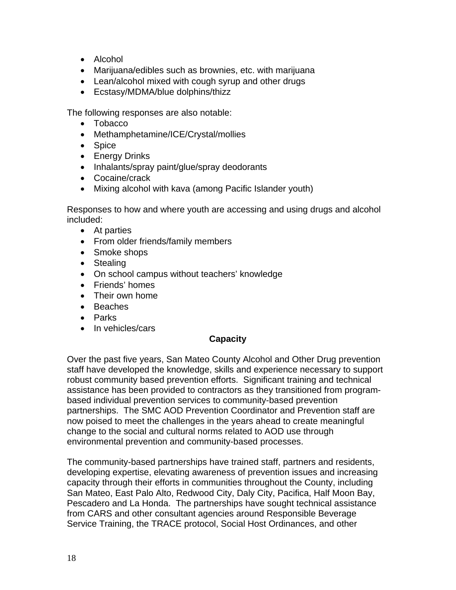- Alcohol
- Marijuana/edibles such as brownies, etc. with marijuana
- Lean/alcohol mixed with cough syrup and other drugs
- Ecstasy/MDMA/blue dolphins/thizz

The following responses are also notable:

- Tobacco
- Methamphetamine/ICE/Crystal/mollies
- Spice
- Energy Drinks
- Inhalants/spray paint/glue/spray deodorants
- Cocaine/crack
- Mixing alcohol with kava (among Pacific Islander youth)

Responses to how and where youth are accessing and using drugs and alcohol included:

- At parties
- From older friends/family members
- Smoke shops
- Stealing
- On school campus without teachers' knowledge
- Friends' homes
- Their own home
- Beaches
- Parks
- In vehicles/cars

### **Capacity**

Over the past five years, San Mateo County Alcohol and Other Drug prevention staff have developed the knowledge, skills and experience necessary to support robust community based prevention efforts. Significant training and technical assistance has been provided to contractors as they transitioned from programbased individual prevention services to community-based prevention partnerships. The SMC AOD Prevention Coordinator and Prevention staff are now poised to meet the challenges in the years ahead to create meaningful change to the social and cultural norms related to AOD use through environmental prevention and community-based processes.

The community-based partnerships have trained staff, partners and residents, developing expertise, elevating awareness of prevention issues and increasing capacity through their efforts in communities throughout the County, including San Mateo, East Palo Alto, Redwood City, Daly City, Pacifica, Half Moon Bay, Pescadero and La Honda. The partnerships have sought technical assistance from CARS and other consultant agencies around Responsible Beverage Service Training, the TRACE protocol, Social Host Ordinances, and other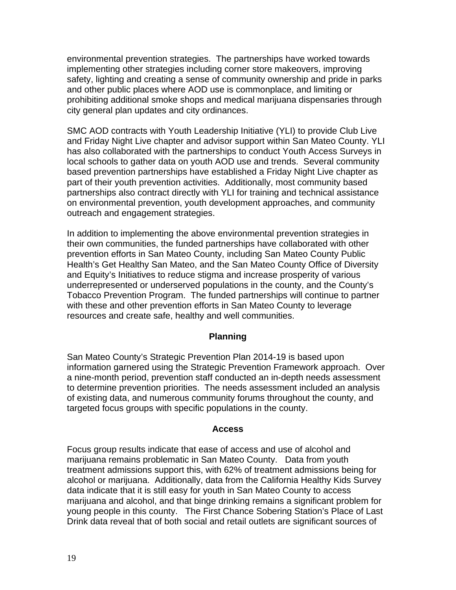environmental prevention strategies. The partnerships have worked towards implementing other strategies including corner store makeovers, improving safety, lighting and creating a sense of community ownership and pride in parks and other public places where AOD use is commonplace, and limiting or prohibiting additional smoke shops and medical marijuana dispensaries through city general plan updates and city ordinances.

SMC AOD contracts with Youth Leadership Initiative (YLI) to provide Club Live and Friday Night Live chapter and advisor support within San Mateo County. YLI has also collaborated with the partnerships to conduct Youth Access Surveys in local schools to gather data on youth AOD use and trends. Several community based prevention partnerships have established a Friday Night Live chapter as part of their youth prevention activities. Additionally, most community based partnerships also contract directly with YLI for training and technical assistance on environmental prevention, youth development approaches, and community outreach and engagement strategies.

In addition to implementing the above environmental prevention strategies in their own communities, the funded partnerships have collaborated with other prevention efforts in San Mateo County, including San Mateo County Public Health's Get Healthy San Mateo, and the San Mateo County Office of Diversity and Equity's Initiatives to reduce stigma and increase prosperity of various underrepresented or underserved populations in the county, and the County's Tobacco Prevention Program. The funded partnerships will continue to partner with these and other prevention efforts in San Mateo County to leverage resources and create safe, healthy and well communities.

### **Planning**

San Mateo County's Strategic Prevention Plan 2014-19 is based upon information garnered using the Strategic Prevention Framework approach. Over a nine-month period, prevention staff conducted an in-depth needs assessment to determine prevention priorities. The needs assessment included an analysis of existing data, and numerous community forums throughout the county, and targeted focus groups with specific populations in the county.

### **Access**

Focus group results indicate that ease of access and use of alcohol and marijuana remains problematic in San Mateo County. Data from youth treatment admissions support this, with 62% of treatment admissions being for alcohol or marijuana. Additionally, data from the California Healthy Kids Survey data indicate that it is still easy for youth in San Mateo County to access marijuana and alcohol, and that binge drinking remains a significant problem for young people in this county. The First Chance Sobering Station's Place of Last Drink data reveal that of both social and retail outlets are significant sources of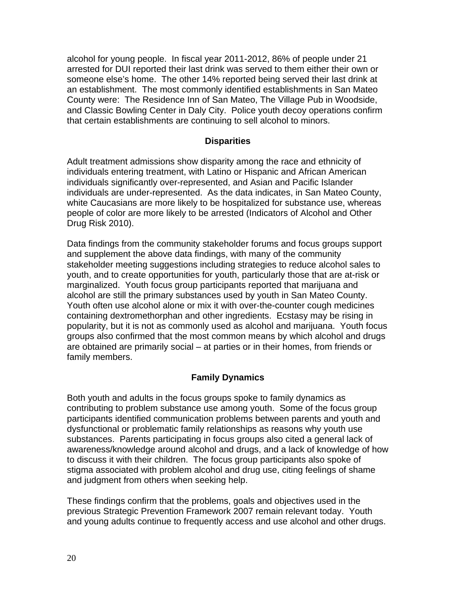alcohol for young people. In fiscal year 2011-2012, 86% of people under 21 arrested for DUI reported their last drink was served to them either their own or someone else's home. The other 14% reported being served their last drink at an establishment. The most commonly identified establishments in San Mateo County were: The Residence Inn of San Mateo, The Village Pub in Woodside, and Classic Bowling Center in Daly City. Police youth decoy operations confirm that certain establishments are continuing to sell alcohol to minors.

### **Disparities**

Adult treatment admissions show disparity among the race and ethnicity of individuals entering treatment, with Latino or Hispanic and African American individuals significantly over-represented, and Asian and Pacific Islander individuals are under-represented. As the data indicates, in San Mateo County, white Caucasians are more likely to be hospitalized for substance use, whereas people of color are more likely to be arrested (Indicators of Alcohol and Other Drug Risk 2010).

Data findings from the community stakeholder forums and focus groups support and supplement the above data findings, with many of the community stakeholder meeting suggestions including strategies to reduce alcohol sales to youth, and to create opportunities for youth, particularly those that are at-risk or marginalized. Youth focus group participants reported that marijuana and alcohol are still the primary substances used by youth in San Mateo County. Youth often use alcohol alone or mix it with over-the-counter cough medicines containing dextromethorphan and other ingredients. Ecstasy may be rising in popularity, but it is not as commonly used as alcohol and marijuana. Youth focus groups also confirmed that the most common means by which alcohol and drugs are obtained are primarily social – at parties or in their homes, from friends or family members.

# **Family Dynamics**

Both youth and adults in the focus groups spoke to family dynamics as contributing to problem substance use among youth. Some of the focus group participants identified communication problems between parents and youth and dysfunctional or problematic family relationships as reasons why youth use substances. Parents participating in focus groups also cited a general lack of awareness/knowledge around alcohol and drugs, and a lack of knowledge of how to discuss it with their children. The focus group participants also spoke of stigma associated with problem alcohol and drug use, citing feelings of shame and judgment from others when seeking help.

These findings confirm that the problems, goals and objectives used in the previous Strategic Prevention Framework 2007 remain relevant today. Youth and young adults continue to frequently access and use alcohol and other drugs.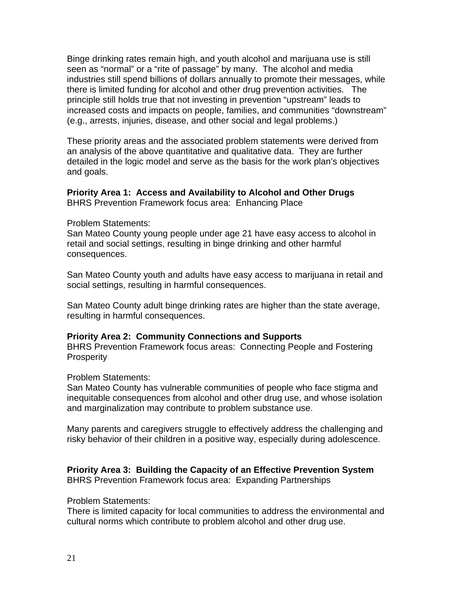Binge drinking rates remain high, and youth alcohol and marijuana use is still seen as "normal" or a "rite of passage" by many. The alcohol and media industries still spend billions of dollars annually to promote their messages, while there is limited funding for alcohol and other drug prevention activities. The principle still holds true that not investing in prevention "upstream" leads to increased costs and impacts on people, families, and communities "downstream" (e.g., arrests, injuries, disease, and other social and legal problems.)

These priority areas and the associated problem statements were derived from an analysis of the above quantitative and qualitative data. They are further detailed in the logic model and serve as the basis for the work plan's objectives and goals.

### **Priority Area 1: Access and Availability to Alcohol and Other Drugs**  BHRS Prevention Framework focus area: Enhancing Place

### Problem Statements:

San Mateo County young people under age 21 have easy access to alcohol in retail and social settings, resulting in binge drinking and other harmful consequences.

San Mateo County youth and adults have easy access to marijuana in retail and social settings, resulting in harmful consequences.

San Mateo County adult binge drinking rates are higher than the state average, resulting in harmful consequences.

### **Priority Area 2: Community Connections and Supports**

BHRS Prevention Framework focus areas: Connecting People and Fostering **Prosperity** 

### Problem Statements:

San Mateo County has vulnerable communities of people who face stigma and inequitable consequences from alcohol and other drug use, and whose isolation and marginalization may contribute to problem substance use.

Many parents and caregivers struggle to effectively address the challenging and risky behavior of their children in a positive way, especially during adolescence.

#### **Priority Area 3: Building the Capacity of an Effective Prevention System**  BHRS Prevention Framework focus area: Expanding Partnerships

### Problem Statements:

There is limited capacity for local communities to address the environmental and cultural norms which contribute to problem alcohol and other drug use.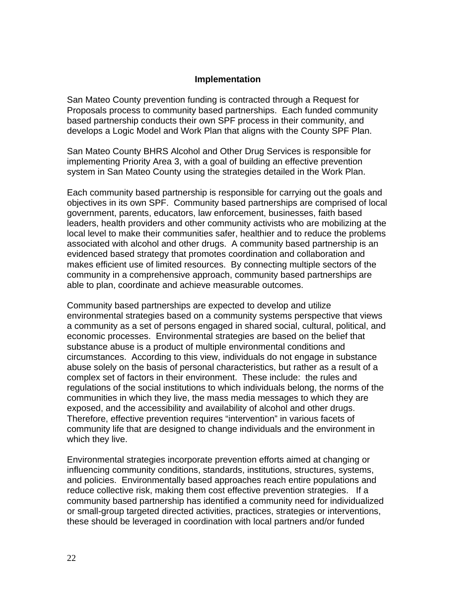### **Implementation**

San Mateo County prevention funding is contracted through a Request for Proposals process to community based partnerships. Each funded community based partnership conducts their own SPF process in their community, and develops a Logic Model and Work Plan that aligns with the County SPF Plan.

San Mateo County BHRS Alcohol and Other Drug Services is responsible for implementing Priority Area 3, with a goal of building an effective prevention system in San Mateo County using the strategies detailed in the Work Plan.

Each community based partnership is responsible for carrying out the goals and objectives in its own SPF. Community based partnerships are comprised of local government, parents, educators, law enforcement, businesses, faith based leaders, health providers and other community activists who are mobilizing at the local level to make their communities safer, healthier and to reduce the problems associated with alcohol and other drugs. A community based partnership is an evidenced based strategy that promotes coordination and collaboration and makes efficient use of limited resources. By connecting multiple sectors of the community in a comprehensive approach, community based partnerships are able to plan, coordinate and achieve measurable outcomes.

Community based partnerships are expected to develop and utilize environmental strategies based on a community systems perspective that views a community as a set of persons engaged in shared social, cultural, political, and economic processes. Environmental strategies are based on the belief that substance abuse is a product of multiple environmental conditions and circumstances. According to this view, individuals do not engage in substance abuse solely on the basis of personal characteristics, but rather as a result of a complex set of factors in their environment. These include: the rules and regulations of the social institutions to which individuals belong, the norms of the communities in which they live, the mass media messages to which they are exposed, and the accessibility and availability of alcohol and other drugs. Therefore, effective prevention requires "intervention" in various facets of community life that are designed to change individuals and the environment in which they live.

Environmental strategies incorporate prevention efforts aimed at changing or influencing community conditions, standards, institutions, structures, systems, and policies. Environmentally based approaches reach entire populations and reduce collective risk, making them cost effective prevention strategies. If a community based partnership has identified a community need for individualized or small-group targeted directed activities, practices, strategies or interventions, these should be leveraged in coordination with local partners and/or funded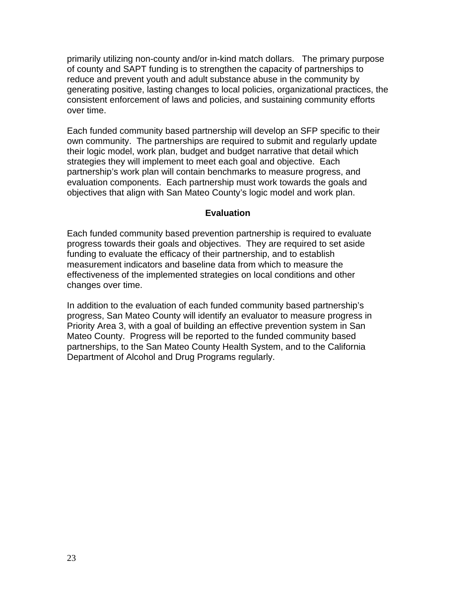primarily utilizing non-county and/or in-kind match dollars. The primary purpose of county and SAPT funding is to strengthen the capacity of partnerships to reduce and prevent youth and adult substance abuse in the community by generating positive, lasting changes to local policies, organizational practices, the consistent enforcement of laws and policies, and sustaining community efforts over time.

Each funded community based partnership will develop an SFP specific to their own community. The partnerships are required to submit and regularly update their logic model, work plan, budget and budget narrative that detail which strategies they will implement to meet each goal and objective. Each partnership's work plan will contain benchmarks to measure progress, and evaluation components. Each partnership must work towards the goals and objectives that align with San Mateo County's logic model and work plan.

### **Evaluation**

Each funded community based prevention partnership is required to evaluate progress towards their goals and objectives. They are required to set aside funding to evaluate the efficacy of their partnership, and to establish measurement indicators and baseline data from which to measure the effectiveness of the implemented strategies on local conditions and other changes over time.

In addition to the evaluation of each funded community based partnership's progress, San Mateo County will identify an evaluator to measure progress in Priority Area 3, with a goal of building an effective prevention system in San Mateo County. Progress will be reported to the funded community based partnerships, to the San Mateo County Health System, and to the California Department of Alcohol and Drug Programs regularly.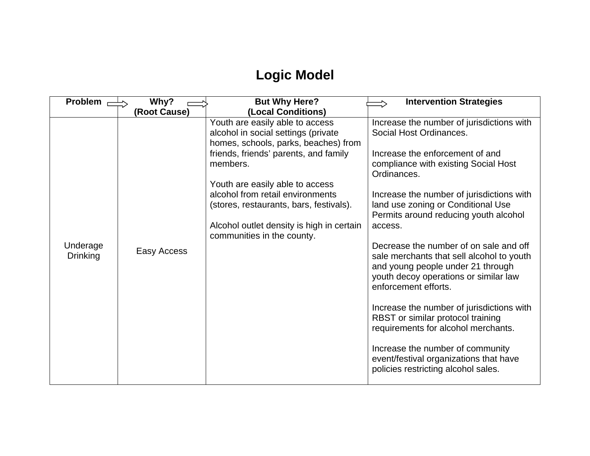# **Logic Model**

| <b>Problem</b>              | Why?         | <b>But Why Here?</b>                                                                                                                                                                                                                                                                                                                                             | <b>Intervention Strategies</b>                                                                                                                                                                                                                                                                                                                                                                                                                                                                                                                                                                                                                                                                                                                   |
|-----------------------------|--------------|------------------------------------------------------------------------------------------------------------------------------------------------------------------------------------------------------------------------------------------------------------------------------------------------------------------------------------------------------------------|--------------------------------------------------------------------------------------------------------------------------------------------------------------------------------------------------------------------------------------------------------------------------------------------------------------------------------------------------------------------------------------------------------------------------------------------------------------------------------------------------------------------------------------------------------------------------------------------------------------------------------------------------------------------------------------------------------------------------------------------------|
|                             | (Root Cause) | (Local Conditions)                                                                                                                                                                                                                                                                                                                                               |                                                                                                                                                                                                                                                                                                                                                                                                                                                                                                                                                                                                                                                                                                                                                  |
| Underage<br><b>Drinking</b> | Easy Access  | Youth are easily able to access<br>alcohol in social settings (private<br>homes, schools, parks, beaches) from<br>friends, friends' parents, and family<br>members.<br>Youth are easily able to access<br>alcohol from retail environments<br>(stores, restaurants, bars, festivals).<br>Alcohol outlet density is high in certain<br>communities in the county. | Increase the number of jurisdictions with<br>Social Host Ordinances.<br>Increase the enforcement of and<br>compliance with existing Social Host<br>Ordinances.<br>Increase the number of jurisdictions with<br>land use zoning or Conditional Use<br>Permits around reducing youth alcohol<br>access.<br>Decrease the number of on sale and off<br>sale merchants that sell alcohol to youth<br>and young people under 21 through<br>youth decoy operations or similar law<br>enforcement efforts.<br>Increase the number of jurisdictions with<br>RBST or similar protocol training<br>requirements for alcohol merchants.<br>Increase the number of community<br>event/festival organizations that have<br>policies restricting alcohol sales. |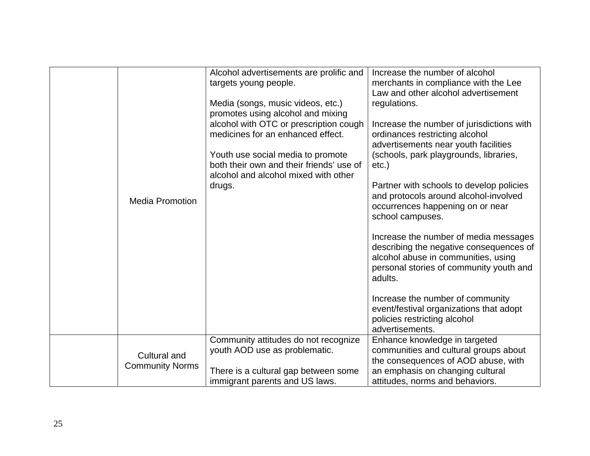|                                        | Alcohol advertisements are prolific and<br>targets young people.<br>Media (songs, music videos, etc.)<br>promotes using alcohol and mixing<br>alcohol with OTC or prescription cough<br>medicines for an enhanced effect.<br>Youth use social media to promote<br>both their own and their friends' use of | Increase the number of alcohol<br>merchants in compliance with the Lee<br>Law and other alcohol advertisement<br>regulations.<br>Increase the number of jurisdictions with<br>ordinances restricting alcohol<br>advertisements near youth facilities<br>(schools, park playgrounds, libraries, |
|----------------------------------------|------------------------------------------------------------------------------------------------------------------------------------------------------------------------------------------------------------------------------------------------------------------------------------------------------------|------------------------------------------------------------------------------------------------------------------------------------------------------------------------------------------------------------------------------------------------------------------------------------------------|
|                                        | alcohol and alcohol mixed with other                                                                                                                                                                                                                                                                       | $etc.$ )                                                                                                                                                                                                                                                                                       |
| <b>Media Promotion</b>                 | drugs.                                                                                                                                                                                                                                                                                                     | Partner with schools to develop policies<br>and protocols around alcohol-involved<br>occurrences happening on or near<br>school campuses.                                                                                                                                                      |
|                                        |                                                                                                                                                                                                                                                                                                            | Increase the number of media messages<br>describing the negative consequences of<br>alcohol abuse in communities, using<br>personal stories of community youth and<br>adults.                                                                                                                  |
|                                        |                                                                                                                                                                                                                                                                                                            | Increase the number of community<br>event/festival organizations that adopt<br>policies restricting alcohol<br>advertisements.                                                                                                                                                                 |
|                                        | Community attitudes do not recognize<br>youth AOD use as problematic.                                                                                                                                                                                                                                      | Enhance knowledge in targeted<br>communities and cultural groups about                                                                                                                                                                                                                         |
| Cultural and<br><b>Community Norms</b> |                                                                                                                                                                                                                                                                                                            | the consequences of AOD abuse, with                                                                                                                                                                                                                                                            |
|                                        | There is a cultural gap between some<br>immigrant parents and US laws.                                                                                                                                                                                                                                     | an emphasis on changing cultural<br>attitudes, norms and behaviors.                                                                                                                                                                                                                            |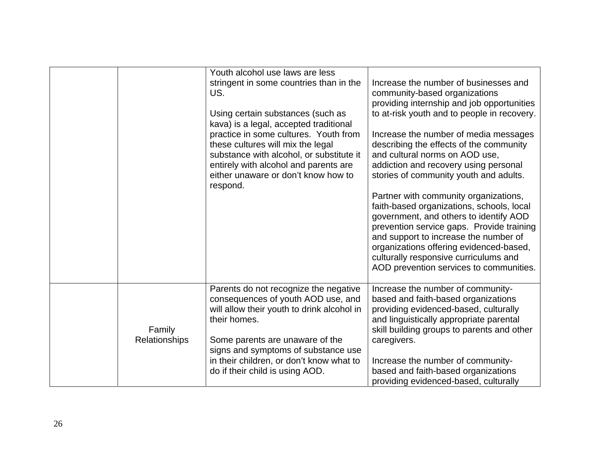|                         | Youth alcohol use laws are less<br>stringent in some countries than in the<br>US.<br>Using certain substances (such as<br>kava) is a legal, accepted traditional<br>practice in some cultures. Youth from<br>these cultures will mix the legal<br>substance with alcohol, or substitute it<br>entirely with alcohol and parents are<br>either unaware or don't know how to<br>respond. | Increase the number of businesses and<br>community-based organizations<br>providing internship and job opportunities<br>to at-risk youth and to people in recovery.<br>Increase the number of media messages<br>describing the effects of the community<br>and cultural norms on AOD use,<br>addiction and recovery using personal<br>stories of community youth and adults.<br>Partner with community organizations,<br>faith-based organizations, schools, local<br>government, and others to identify AOD<br>prevention service gaps. Provide training<br>and support to increase the number of<br>organizations offering evidenced-based,<br>culturally responsive curriculums and<br>AOD prevention services to communities. |
|-------------------------|----------------------------------------------------------------------------------------------------------------------------------------------------------------------------------------------------------------------------------------------------------------------------------------------------------------------------------------------------------------------------------------|-----------------------------------------------------------------------------------------------------------------------------------------------------------------------------------------------------------------------------------------------------------------------------------------------------------------------------------------------------------------------------------------------------------------------------------------------------------------------------------------------------------------------------------------------------------------------------------------------------------------------------------------------------------------------------------------------------------------------------------|
| Family<br>Relationships | Parents do not recognize the negative<br>consequences of youth AOD use, and<br>will allow their youth to drink alcohol in<br>their homes.<br>Some parents are unaware of the<br>signs and symptoms of substance use<br>in their children, or don't know what to<br>do if their child is using AOD.                                                                                     | Increase the number of community-<br>based and faith-based organizations<br>providing evidenced-based, culturally<br>and linguistically appropriate parental<br>skill building groups to parents and other<br>caregivers.<br>Increase the number of community-<br>based and faith-based organizations<br>providing evidenced-based, culturally                                                                                                                                                                                                                                                                                                                                                                                    |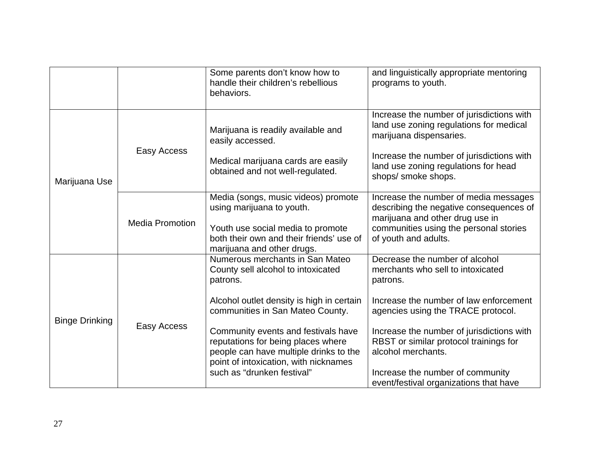|                       |                        | Some parents don't know how to<br>handle their children's rebellious<br>behaviors.                                                                                                                                                                                                                                                                               | and linguistically appropriate mentoring<br>programs to youth.                                                                                                                                                                                                                                                                                             |
|-----------------------|------------------------|------------------------------------------------------------------------------------------------------------------------------------------------------------------------------------------------------------------------------------------------------------------------------------------------------------------------------------------------------------------|------------------------------------------------------------------------------------------------------------------------------------------------------------------------------------------------------------------------------------------------------------------------------------------------------------------------------------------------------------|
| Marijuana Use         | Easy Access            | Marijuana is readily available and<br>easily accessed.<br>Medical marijuana cards are easily<br>obtained and not well-regulated.                                                                                                                                                                                                                                 | Increase the number of jurisdictions with<br>land use zoning regulations for medical<br>marijuana dispensaries.<br>Increase the number of jurisdictions with<br>land use zoning regulations for head<br>shops/ smoke shops.                                                                                                                                |
|                       | <b>Media Promotion</b> | Media (songs, music videos) promote<br>using marijuana to youth.<br>Youth use social media to promote<br>both their own and their friends' use of<br>marijuana and other drugs.                                                                                                                                                                                  | Increase the number of media messages<br>describing the negative consequences of<br>marijuana and other drug use in<br>communities using the personal stories<br>of youth and adults.                                                                                                                                                                      |
| <b>Binge Drinking</b> | Easy Access            | Numerous merchants in San Mateo<br>County sell alcohol to intoxicated<br>patrons.<br>Alcohol outlet density is high in certain<br>communities in San Mateo County.<br>Community events and festivals have<br>reputations for being places where<br>people can have multiple drinks to the<br>point of intoxication, with nicknames<br>such as "drunken festival" | Decrease the number of alcohol<br>merchants who sell to intoxicated<br>patrons.<br>Increase the number of law enforcement<br>agencies using the TRACE protocol.<br>Increase the number of jurisdictions with<br>RBST or similar protocol trainings for<br>alcohol merchants.<br>Increase the number of community<br>event/festival organizations that have |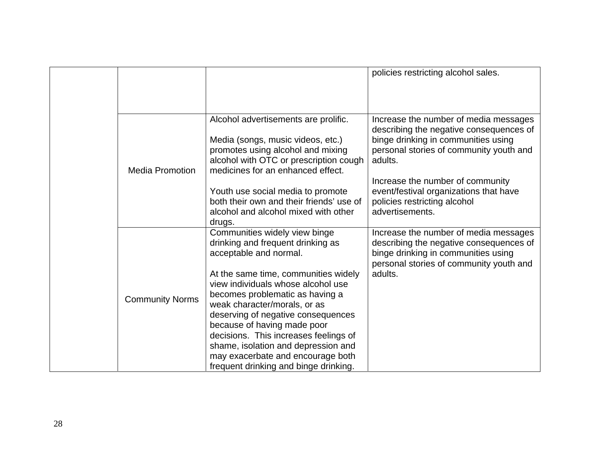|  |                        |                                                                                                                                                                                                                                                                                                                                                                                                                                                                                  | policies restricting alcohol sales.                                                                                                                                                                               |
|--|------------------------|----------------------------------------------------------------------------------------------------------------------------------------------------------------------------------------------------------------------------------------------------------------------------------------------------------------------------------------------------------------------------------------------------------------------------------------------------------------------------------|-------------------------------------------------------------------------------------------------------------------------------------------------------------------------------------------------------------------|
|  | <b>Media Promotion</b> | Alcohol advertisements are prolific.<br>Media (songs, music videos, etc.)<br>promotes using alcohol and mixing<br>alcohol with OTC or prescription cough<br>medicines for an enhanced effect.                                                                                                                                                                                                                                                                                    | Increase the number of media messages<br>describing the negative consequences of<br>binge drinking in communities using<br>personal stories of community youth and<br>adults.<br>Increase the number of community |
|  |                        | Youth use social media to promote<br>both their own and their friends' use of<br>alcohol and alcohol mixed with other<br>drugs.                                                                                                                                                                                                                                                                                                                                                  | event/festival organizations that have<br>policies restricting alcohol<br>advertisements.                                                                                                                         |
|  | <b>Community Norms</b> | Communities widely view binge<br>drinking and frequent drinking as<br>acceptable and normal.<br>At the same time, communities widely<br>view individuals whose alcohol use<br>becomes problematic as having a<br>weak character/morals, or as<br>deserving of negative consequences<br>because of having made poor<br>decisions. This increases feelings of<br>shame, isolation and depression and<br>may exacerbate and encourage both<br>frequent drinking and binge drinking. | Increase the number of media messages<br>describing the negative consequences of<br>binge drinking in communities using<br>personal stories of community youth and<br>adults.                                     |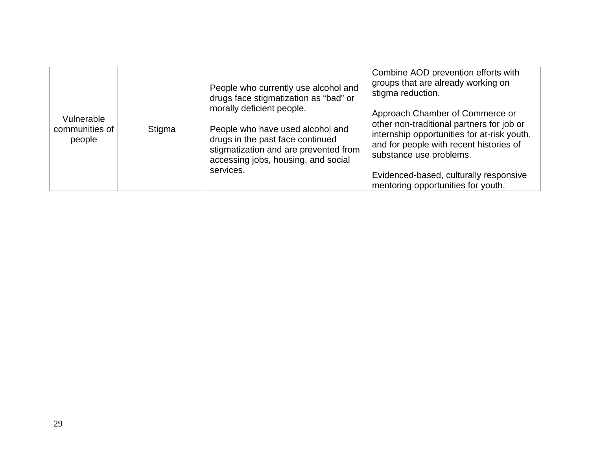| Vulnerable<br>communities of<br>people | Stigma | People who currently use alcohol and<br>drugs face stigmatization as "bad" or<br>morally deficient people.<br>People who have used alcohol and<br>drugs in the past face continued<br>stigmatization and are prevented from | Combine AOD prevention efforts with<br>groups that are already working on<br>stigma reduction.<br>Approach Chamber of Commerce or<br>other non-traditional partners for job or<br>internship opportunities for at-risk youth,<br>and for people with recent histories of<br>substance use problems. |
|----------------------------------------|--------|-----------------------------------------------------------------------------------------------------------------------------------------------------------------------------------------------------------------------------|-----------------------------------------------------------------------------------------------------------------------------------------------------------------------------------------------------------------------------------------------------------------------------------------------------|
|                                        |        | accessing jobs, housing, and social<br>services.                                                                                                                                                                            | Evidenced-based, culturally responsive<br>mentoring opportunities for youth.                                                                                                                                                                                                                        |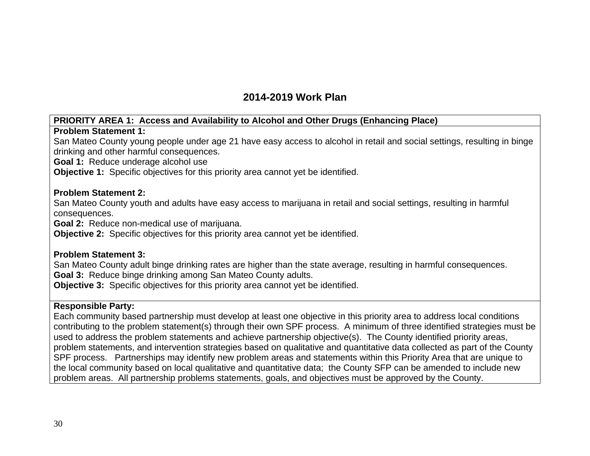# **2014-2019 Work Plan**

# **PRIORITY AREA 1: Access and Availability to Alcohol and Other Drugs (Enhancing Place)**

### **Problem Statement 1:**

San Mateo County young people under age 21 have easy access to alcohol in retail and social settings, resulting in binge drinking and other harmful consequences.

**Goal 1:** Reduce underage alcohol use

**Objective 1:** Specific objectives for this priority area cannot yet be identified.

### **Problem Statement 2:**

San Mateo County youth and adults have easy access to marijuana in retail and social settings, resulting in harmful consequences.

**Goal 2:** Reduce non-medical use of marijuana.

**Objective 2:** Specific objectives for this priority area cannot yet be identified.

### **Problem Statement 3:**

San Mateo County adult binge drinking rates are higher than the state average, resulting in harmful consequences. **Goal 3:** Reduce binge drinking among San Mateo County adults.

**Objective 3:** Specific objectives for this priority area cannot yet be identified.

### **Responsible Party:**

Each community based partnership must develop at least one objective in this priority area to address local conditions contributing to the problem statement(s) through their own SPF process. A minimum of three identified strategies must be used to address the problem statements and achieve partnership objective(s). The County identified priority areas, problem statements, and intervention strategies based on qualitative and quantitative data collected as part of the County SPF process. Partnerships may identify new problem areas and statements within this Priority Area that are unique to the local community based on local qualitative and quantitative data; the County SFP can be amended to include new problem areas. All partnership problems statements, goals, and objectives must be approved by the County.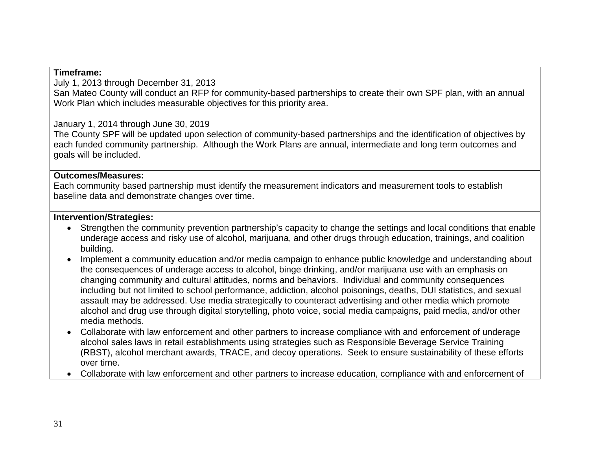### **Timeframe:**

July 1, 2013 through December 31, 2013

San Mateo County will conduct an RFP for community-based partnerships to create their own SPF plan, with an annual Work Plan which includes measurable objectives for this priority area.

# January 1, 2014 through June 30, 2019

The County SPF will be updated upon selection of community-based partnerships and the identification of objectives by each funded community partnership. Although the Work Plans are annual, intermediate and long term outcomes and goals will be included.

### **Outcomes/Measures:**

Each community based partnership must identify the measurement indicators and measurement tools to establish baseline data and demonstrate changes over time.

### **Intervention/Strategies:**

- Strengthen the community prevention partnership's capacity to change the settings and local conditions that enable underage access and risky use of alcohol, marijuana, and other drugs through education, trainings, and coalition building.
- Implement a community education and/or media campaign to enhance public knowledge and understanding about the consequences of underage access to alcohol, binge drinking, and/or marijuana use with an emphasis on changing community and cultural attitudes, norms and behaviors. Individual and community consequences including but not limited to school performance, addiction, alcohol poisonings, deaths, DUI statistics, and sexual assault may be addressed. Use media strategically to counteract advertising and other media which promote alcohol and drug use through digital storytelling, photo voice, social media campaigns, paid media, and/or other media methods.
- Collaborate with law enforcement and other partners to increase compliance with and enforcement of underage alcohol sales laws in retail establishments using strategies such as Responsible Beverage Service Training (RBST), alcohol merchant awards, TRACE, and decoy operations. Seek to ensure sustainability of these efforts over time.
- Collaborate with law enforcement and other partners to increase education, compliance with and enforcement of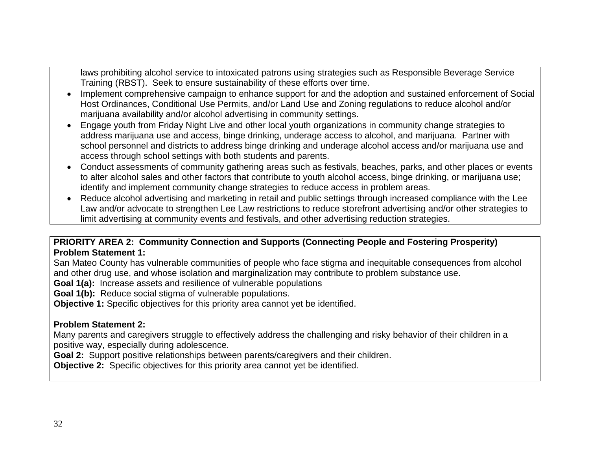laws prohibiting alcohol service to intoxicated patrons using strategies such as Responsible Beverage Service Training (RBST). Seek to ensure sustainability of these efforts over time.

- Implement comprehensive campaign to enhance support for and the adoption and sustained enforcement of Social Host Ordinances, Conditional Use Permits, and/or Land Use and Zoning regulations to reduce alcohol and/or marijuana availability and/or alcohol advertising in community settings.
- Engage youth from Friday Night Live and other local youth organizations in community change strategies to address marijuana use and access, binge drinking, underage access to alcohol, and marijuana. Partner with school personnel and districts to address binge drinking and underage alcohol access and/or marijuana use and access through school settings with both students and parents.
- Conduct assessments of community gathering areas such as festivals, beaches, parks, and other places or events to alter alcohol sales and other factors that contribute to youth alcohol access, binge drinking, or marijuana use; identify and implement community change strategies to reduce access in problem areas.
- Reduce alcohol advertising and marketing in retail and public settings through increased compliance with the Lee Law and/or advocate to strengthen Lee Law restrictions to reduce storefront advertising and/or other strategies to limit advertising at community events and festivals, and other advertising reduction strategies.

# **PRIORITY AREA 2: Community Connection and Supports (Connecting People and Fostering Prosperity)**

### **Problem Statement 1:**

San Mateo County has vulnerable communities of people who face stigma and inequitable consequences from alcohol and other drug use, and whose isolation and marginalization may contribute to problem substance use.

**Goal 1(a):** Increase assets and resilience of vulnerable populations

**Goal 1(b):** Reduce social stigma of vulnerable populations.

**Objective 1:** Specific objectives for this priority area cannot yet be identified.

# **Problem Statement 2:**

Many parents and caregivers struggle to effectively address the challenging and risky behavior of their children in a positive way, especially during adolescence.

**Goal 2:** Support positive relationships between parents/caregivers and their children.

**Objective 2:** Specific objectives for this priority area cannot yet be identified.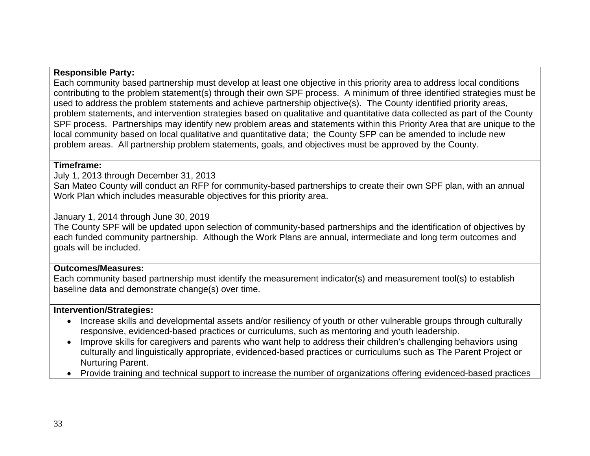### **Responsible Party:**

Each community based partnership must develop at least one objective in this priority area to address local conditions contributing to the problem statement(s) through their own SPF process. A minimum of three identified strategies must be used to address the problem statements and achieve partnership objective(s). The County identified priority areas, problem statements, and intervention strategies based on qualitative and quantitative data collected as part of the County SPF process. Partnerships may identify new problem areas and statements within this Priority Area that are unique to the local community based on local qualitative and quantitative data; the County SFP can be amended to include new problem areas. All partnership problem statements, goals, and objectives must be approved by the County.

### **Timeframe:**

July 1, 2013 through December 31, 2013

San Mateo County will conduct an RFP for community-based partnerships to create their own SPF plan, with an annual Work Plan which includes measurable objectives for this priority area.

### January 1, 2014 through June 30, 2019

The County SPF will be updated upon selection of community-based partnerships and the identification of objectives by each funded community partnership. Although the Work Plans are annual, intermediate and long term outcomes and goals will be included.

# **Outcomes/Measures:**

Each community based partnership must identify the measurement indicator(s) and measurement tool(s) to establish baseline data and demonstrate change(s) over time.

### **Intervention/Strategies:**

- Increase skills and developmental assets and/or resiliency of youth or other vulnerable groups through culturally responsive, evidenced-based practices or curriculums, such as mentoring and youth leadership.
- Improve skills for caregivers and parents who want help to address their children's challenging behaviors using culturally and linguistically appropriate, evidenced-based practices or curriculums such as The Parent Project or Nurturing Parent.
- Provide training and technical support to increase the number of organizations offering evidenced-based practices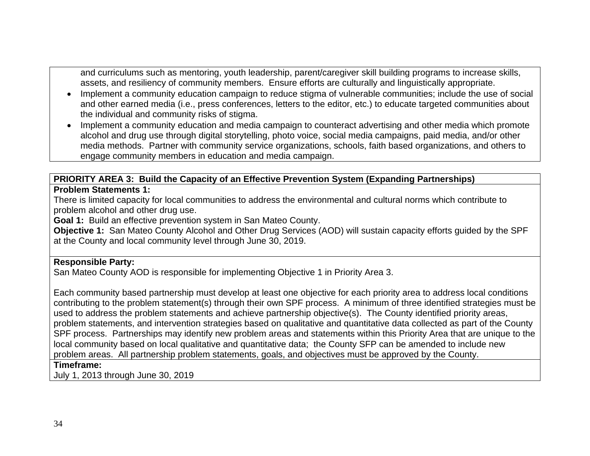and curriculums such as mentoring, youth leadership, parent/caregiver skill building programs to increase skills, assets, and resiliency of community members. Ensure efforts are culturally and linguistically appropriate.

- Implement a community education campaign to reduce stigma of vulnerable communities; include the use of social and other earned media (i.e., press conferences, letters to the editor, etc.) to educate targeted communities about the individual and community risks of stigma.
- Implement a community education and media campaign to counteract advertising and other media which promote alcohol and drug use through digital storytelling, photo voice, social media campaigns, paid media, and/or other media methods. Partner with community service organizations, schools, faith based organizations, and others to engage community members in education and media campaign.

#### **PRIORITY AREA 3: Build the Capacity of an Effective Prevention System (Expanding Partnerships) Problem Statements 1:**

There is limited capacity for local communities to address the environmental and cultural norms which contribute to problem alcohol and other drug use.

**Goal 1:** Build an effective prevention system in San Mateo County.

**Objective 1:** San Mateo County Alcohol and Other Drug Services (AOD) will sustain capacity efforts guided by the SPF at the County and local community level through June 30, 2019.

### **Responsible Party:**

San Mateo County AOD is responsible for implementing Objective 1 in Priority Area 3.

Each community based partnership must develop at least one objective for each priority area to address local conditions contributing to the problem statement(s) through their own SPF process. A minimum of three identified strategies must be used to address the problem statements and achieve partnership objective(s). The County identified priority areas, problem statements, and intervention strategies based on qualitative and quantitative data collected as part of the County SPF process. Partnerships may identify new problem areas and statements within this Priority Area that are unique to the local community based on local qualitative and quantitative data; the County SFP can be amended to include new problem areas. All partnership problem statements, goals, and objectives must be approved by the County.

### **Timeframe:**

July 1, 2013 through June 30, 2019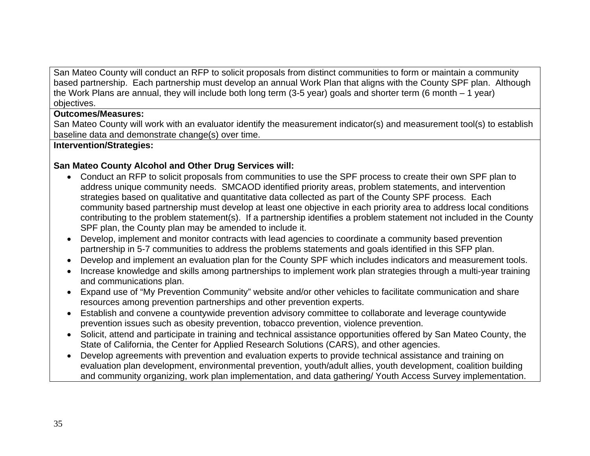San Mateo County will conduct an RFP to solicit proposals from distinct communities to form or maintain a community based partnership. Each partnership must develop an annual Work Plan that aligns with the County SPF plan. Although the Work Plans are annual, they will include both long term (3-5 year) goals and shorter term (6 month – 1 year) objectives.

### **Outcomes/Measures:**

San Mateo County will work with an evaluator identify the measurement indicator(s) and measurement tool(s) to establish baseline data and demonstrate change(s) over time.

### **Intervention/Strategies:**

### **San Mateo County Alcohol and Other Drug Services will:**

- Conduct an RFP to solicit proposals from communities to use the SPF process to create their own SPF plan to address unique community needs. SMCAOD identified priority areas, problem statements, and intervention strategies based on qualitative and quantitative data collected as part of the County SPF process. Each community based partnership must develop at least one objective in each priority area to address local conditions contributing to the problem statement(s). If a partnership identifies a problem statement not included in the County SPF plan, the County plan may be amended to include it.
- Develop, implement and monitor contracts with lead agencies to coordinate a community based prevention partnership in 5-7 communities to address the problems statements and goals identified in this SFP plan.
- Develop and implement an evaluation plan for the County SPF which includes indicators and measurement tools.
- Increase knowledge and skills among partnerships to implement work plan strategies through a multi-year training and communications plan.
- Expand use of "My Prevention Community" website and/or other vehicles to facilitate communication and share resources among prevention partnerships and other prevention experts.
- Establish and convene a countywide prevention advisory committee to collaborate and leverage countywide prevention issues such as obesity prevention, tobacco prevention, violence prevention.
- Solicit, attend and participate in training and technical assistance opportunities offered by San Mateo County, the State of California, the Center for Applied Research Solutions (CARS), and other agencies.
- Develop agreements with prevention and evaluation experts to provide technical assistance and training on evaluation plan development, environmental prevention, youth/adult allies, youth development, coalition building and community organizing, work plan implementation, and data gathering/ Youth Access Survey implementation.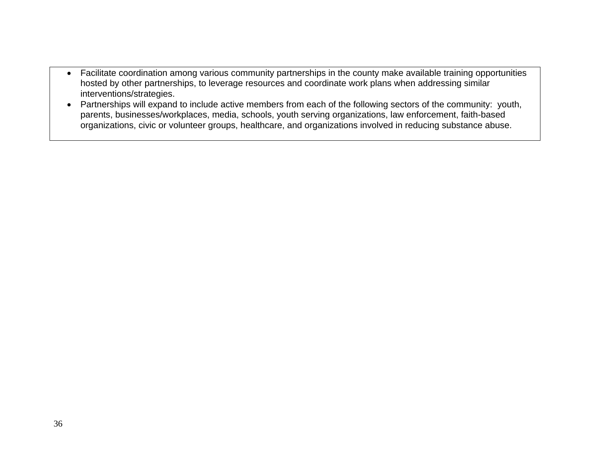- Facilitate coordination among various community partnerships in the county make available training opportunities hosted by other partnerships, to leverage resources and coordinate work plans when addressing similar interventions/strategies.
- Partnerships will expand to include active members from each of the following sectors of the community: youth, parents, businesses/workplaces, media, schools, youth serving organizations, law enforcement, faith-based organizations, civic or volunteer groups, healthcare, and organizations involved in reducing substance abuse.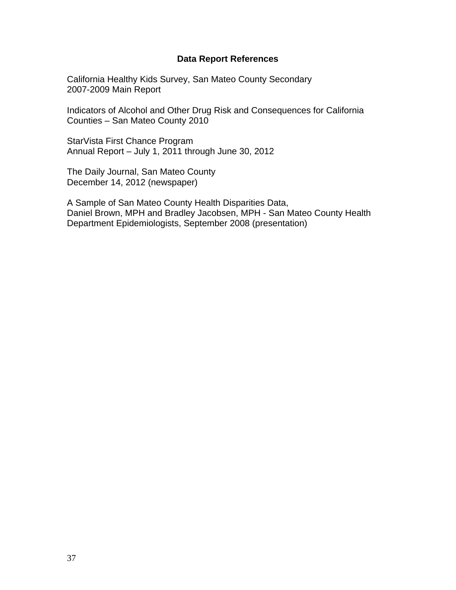### **Data Report References**

California Healthy Kids Survey, San Mateo County Secondary 2007-2009 Main Report

Indicators of Alcohol and Other Drug Risk and Consequences for California Counties – San Mateo County 2010

StarVista First Chance Program Annual Report – July 1, 2011 through June 30, 2012

The Daily Journal, San Mateo County December 14, 2012 (newspaper)

A Sample of San Mateo County Health Disparities Data, Daniel Brown, MPH and Bradley Jacobsen, MPH - San Mateo County Health Department Epidemiologists, September 2008 (presentation)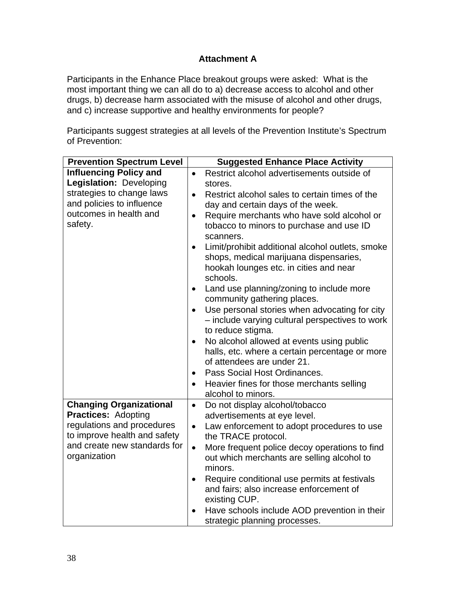# **Attachment A**

Participants in the Enhance Place breakout groups were asked: What is the most important thing we can all do to a) decrease access to alcohol and other drugs, b) decrease harm associated with the misuse of alcohol and other drugs, and c) increase supportive and healthy environments for people?

Participants suggest strategies at all levels of the Prevention Institute's Spectrum of Prevention:

| <b>Prevention Spectrum Level</b>                           | <b>Suggested Enhance Place Activity</b>                                                                                                                       |
|------------------------------------------------------------|---------------------------------------------------------------------------------------------------------------------------------------------------------------|
| <b>Influencing Policy and</b>                              | Restrict alcohol advertisements outside of<br>$\bullet$                                                                                                       |
| Legislation: Developing                                    | stores.                                                                                                                                                       |
| strategies to change laws<br>and policies to influence     | Restrict alcohol sales to certain times of the<br>$\bullet$                                                                                                   |
| outcomes in health and                                     | day and certain days of the week.                                                                                                                             |
| safety.                                                    | Require merchants who have sold alcohol or<br>$\bullet$<br>tobacco to minors to purchase and use ID<br>scanners.                                              |
|                                                            | Limit/prohibit additional alcohol outlets, smoke<br>$\bullet$<br>shops, medical marijuana dispensaries,<br>hookah lounges etc. in cities and near<br>schools. |
|                                                            | Land use planning/zoning to include more<br>$\bullet$<br>community gathering places.                                                                          |
|                                                            | Use personal stories when advocating for city<br>$\bullet$<br>- include varying cultural perspectives to work<br>to reduce stigma.                            |
|                                                            | No alcohol allowed at events using public<br>$\bullet$                                                                                                        |
|                                                            | halls, etc. where a certain percentage or more<br>of attendees are under 21.                                                                                  |
|                                                            | Pass Social Host Ordinances.<br>$\bullet$                                                                                                                     |
|                                                            | Heavier fines for those merchants selling<br>alcohol to minors.                                                                                               |
| <b>Changing Organizational</b>                             | Do not display alcohol/tobacco<br>$\bullet$                                                                                                                   |
| <b>Practices: Adopting</b>                                 | advertisements at eye level.                                                                                                                                  |
| regulations and procedures<br>to improve health and safety | Law enforcement to adopt procedures to use<br>$\bullet$<br>the TRACE protocol.                                                                                |
| and create new standards for<br>organization               | More frequent police decoy operations to find<br>$\bullet$<br>out which merchants are selling alcohol to<br>minors.                                           |
|                                                            | Require conditional use permits at festivals<br>$\bullet$<br>and fairs; also increase enforcement of<br>existing CUP.                                         |
|                                                            | Have schools include AOD prevention in their<br>strategic planning processes.                                                                                 |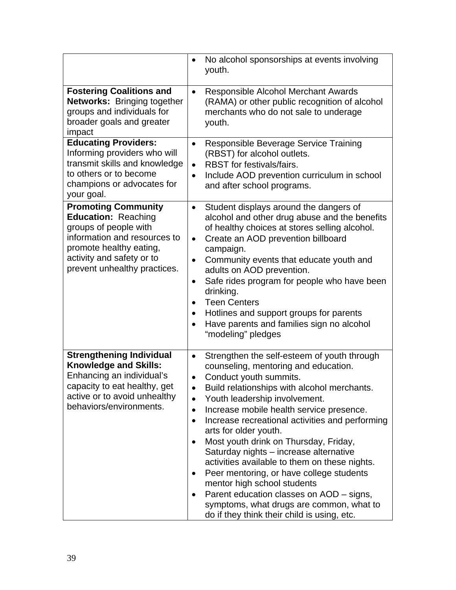|                                                                                                                                                                                                           | No alcohol sponsorships at events involving<br>$\bullet$<br>youth.                                                                                                                                                                                                                                                                                                                                                                                                                                                                                                                                                                                                                                                                           |
|-----------------------------------------------------------------------------------------------------------------------------------------------------------------------------------------------------------|----------------------------------------------------------------------------------------------------------------------------------------------------------------------------------------------------------------------------------------------------------------------------------------------------------------------------------------------------------------------------------------------------------------------------------------------------------------------------------------------------------------------------------------------------------------------------------------------------------------------------------------------------------------------------------------------------------------------------------------------|
| <b>Fostering Coalitions and</b><br>Networks: Bringing together<br>groups and individuals for<br>broader goals and greater<br>impact                                                                       | Responsible Alcohol Merchant Awards<br>$\bullet$<br>(RAMA) or other public recognition of alcohol<br>merchants who do not sale to underage<br>youth.                                                                                                                                                                                                                                                                                                                                                                                                                                                                                                                                                                                         |
| <b>Educating Providers:</b><br>Informing providers who will<br>transmit skills and knowledge<br>to others or to become<br>champions or advocates for<br>your goal.                                        | Responsible Beverage Service Training<br>$\bullet$<br>(RBST) for alcohol outlets.<br>RBST for festivals/fairs.<br>$\bullet$<br>Include AOD prevention curriculum in school<br>$\bullet$<br>and after school programs.                                                                                                                                                                                                                                                                                                                                                                                                                                                                                                                        |
| <b>Promoting Community</b><br><b>Education: Reaching</b><br>groups of people with<br>information and resources to<br>promote healthy eating,<br>activity and safety or to<br>prevent unhealthy practices. | Student displays around the dangers of<br>$\bullet$<br>alcohol and other drug abuse and the benefits<br>of healthy choices at stores selling alcohol.<br>Create an AOD prevention billboard<br>$\bullet$<br>campaign.<br>Community events that educate youth and<br>$\bullet$<br>adults on AOD prevention.<br>Safe rides program for people who have been<br>$\bullet$<br>drinking.<br><b>Teen Centers</b><br>$\bullet$<br>Hotlines and support groups for parents<br>٠<br>Have parents and families sign no alcohol<br>$\bullet$<br>"modeling" pledges                                                                                                                                                                                      |
| <b>Strengthening Individual</b><br><b>Knowledge and Skills:</b><br>Enhancing an individual's<br>capacity to eat healthy, get<br>active or to avoid unhealthy<br>behaviors/environments.                   | Strengthen the self-esteem of youth through<br>$\bullet$<br>counseling, mentoring and education.<br>Conduct youth summits.<br>$\bullet$<br>Build relationships with alcohol merchants.<br>Youth leadership involvement.<br>Increase mobile health service presence.<br>$\bullet$<br>Increase recreational activities and performing<br>$\bullet$<br>arts for older youth.<br>Most youth drink on Thursday, Friday,<br>Saturday nights - increase alternative<br>activities available to them on these nights.<br>Peer mentoring, or have college students<br>mentor high school students<br>Parent education classes on AOD - signs,<br>$\bullet$<br>symptoms, what drugs are common, what to<br>do if they think their child is using, etc. |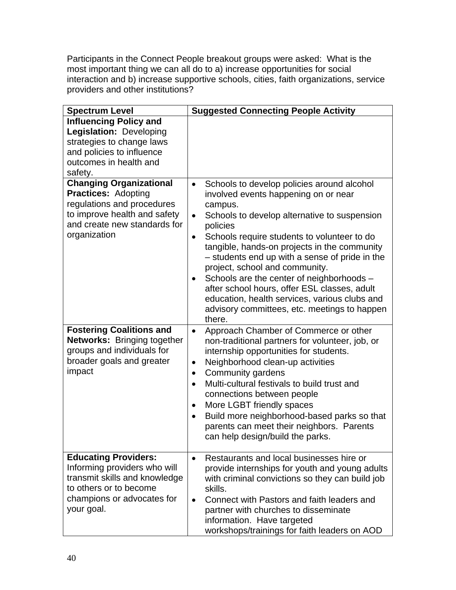Participants in the Connect People breakout groups were asked: What is the most important thing we can all do to a) increase opportunities for social interaction and b) increase supportive schools, cities, faith organizations, service providers and other institutions?

| <b>Spectrum Level</b>                                                                                                                                                      | <b>Suggested Connecting People Activity</b>                                                                                                                                                                                                                                                                                                                                                                                                                                                                                                                                                      |  |
|----------------------------------------------------------------------------------------------------------------------------------------------------------------------------|--------------------------------------------------------------------------------------------------------------------------------------------------------------------------------------------------------------------------------------------------------------------------------------------------------------------------------------------------------------------------------------------------------------------------------------------------------------------------------------------------------------------------------------------------------------------------------------------------|--|
| <b>Influencing Policy and</b><br>Legislation: Developing<br>strategies to change laws<br>and policies to influence<br>outcomes in health and<br>safety.                    |                                                                                                                                                                                                                                                                                                                                                                                                                                                                                                                                                                                                  |  |
| <b>Changing Organizational</b><br><b>Practices: Adopting</b><br>regulations and procedures<br>to improve health and safety<br>and create new standards for<br>organization | Schools to develop policies around alcohol<br>$\bullet$<br>involved events happening on or near<br>campus.<br>Schools to develop alternative to suspension<br>$\bullet$<br>policies<br>Schools require students to volunteer to do<br>$\bullet$<br>tangible, hands-on projects in the community<br>- students end up with a sense of pride in the<br>project, school and community.<br>Schools are the center of neighborhoods -<br>٠<br>after school hours, offer ESL classes, adult<br>education, health services, various clubs and<br>advisory committees, etc. meetings to happen<br>there. |  |
| <b>Fostering Coalitions and</b><br><b>Networks: Bringing together</b><br>groups and individuals for<br>broader goals and greater<br>impact                                 | Approach Chamber of Commerce or other<br>$\bullet$<br>non-traditional partners for volunteer, job, or<br>internship opportunities for students.<br>Neighborhood clean-up activities<br>$\bullet$<br>Community gardens<br>٠<br>Multi-cultural festivals to build trust and<br>$\bullet$<br>connections between people<br>More LGBT friendly spaces<br>$\bullet$<br>Build more neighborhood-based parks so that<br>$\bullet$<br>parents can meet their neighbors. Parents<br>can help design/build the parks.                                                                                      |  |
| <b>Educating Providers:</b><br>Informing providers who will<br>transmit skills and knowledge<br>to others or to become<br>champions or advocates for<br>your goal.         | Restaurants and local businesses hire or<br>$\bullet$<br>provide internships for youth and young adults<br>with criminal convictions so they can build job<br>skills.<br>Connect with Pastors and faith leaders and<br>$\bullet$<br>partner with churches to disseminate<br>information. Have targeted<br>workshops/trainings for faith leaders on AOD                                                                                                                                                                                                                                           |  |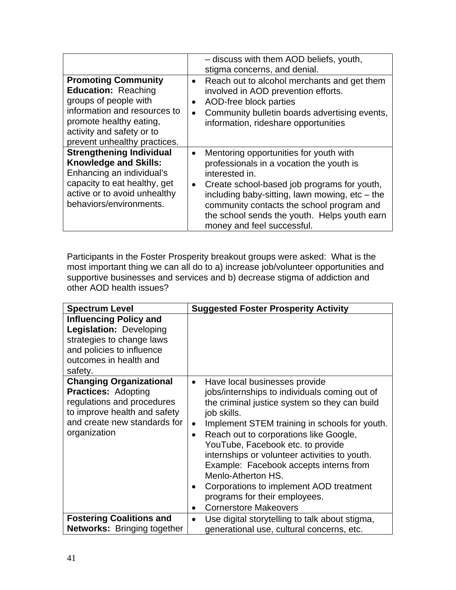|                                                                                                                                                                                                           | - discuss with them AOD beliefs, youth,<br>stigma concerns, and denial.                                                                                                                                                                                                                                                                                    |
|-----------------------------------------------------------------------------------------------------------------------------------------------------------------------------------------------------------|------------------------------------------------------------------------------------------------------------------------------------------------------------------------------------------------------------------------------------------------------------------------------------------------------------------------------------------------------------|
| <b>Promoting Community</b><br><b>Education: Reaching</b><br>groups of people with<br>information and resources to<br>promote healthy eating,<br>activity and safety or to<br>prevent unhealthy practices. | Reach out to alcohol merchants and get them<br>$\bullet$<br>involved in AOD prevention efforts.<br>AOD-free block parties<br>$\bullet$<br>Community bulletin boards advertising events,<br>information, rideshare opportunities                                                                                                                            |
| <b>Strengthening Individual</b><br><b>Knowledge and Skills:</b><br>Enhancing an individual's<br>capacity to eat healthy, get<br>active or to avoid unhealthy<br>behaviors/environments.                   | Mentoring opportunities for youth with<br>$\bullet$<br>professionals in a vocation the youth is<br>interested in.<br>Create school-based job programs for youth,<br>$\bullet$<br>including baby-sitting, lawn mowing, etc - the<br>community contacts the school program and<br>the school sends the youth. Helps youth earn<br>money and feel successful. |

Participants in the Foster Prosperity breakout groups were asked: What is the most important thing we can all do to a) increase job/volunteer opportunities and supportive businesses and services and b) decrease stigma of addiction and other AOD health issues?

| <b>Spectrum Level</b>                                                                                                                                                      | <b>Suggested Foster Prosperity Activity</b>                                                                                                                                                                                                                                                                                                                                                                                                                                                                                                        |  |
|----------------------------------------------------------------------------------------------------------------------------------------------------------------------------|----------------------------------------------------------------------------------------------------------------------------------------------------------------------------------------------------------------------------------------------------------------------------------------------------------------------------------------------------------------------------------------------------------------------------------------------------------------------------------------------------------------------------------------------------|--|
| <b>Influencing Policy and</b><br>Legislation: Developing<br>strategies to change laws<br>and policies to influence<br>outcomes in health and<br>safety.                    |                                                                                                                                                                                                                                                                                                                                                                                                                                                                                                                                                    |  |
| <b>Changing Organizational</b><br><b>Practices: Adopting</b><br>regulations and procedures<br>to improve health and safety<br>and create new standards for<br>organization | Have local businesses provide<br>$\bullet$<br>jobs/internships to individuals coming out of<br>the criminal justice system so they can build<br>job skills.<br>Implement STEM training in schools for youth.<br>$\bullet$<br>Reach out to corporations like Google,<br>$\bullet$<br>YouTube, Facebook etc. to provide<br>internships or volunteer activities to youth.<br>Example: Facebook accepts interns from<br>Menlo-Atherton HS.<br>Corporations to implement AOD treatment<br>programs for their employees.<br><b>Cornerstore Makeovers</b> |  |
| <b>Fostering Coalitions and</b><br><b>Networks:</b> Bringing together                                                                                                      | Use digital storytelling to talk about stigma,<br>٠<br>generational use, cultural concerns, etc.                                                                                                                                                                                                                                                                                                                                                                                                                                                   |  |